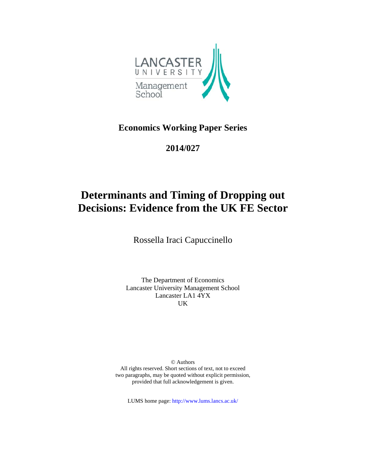

**Economics Working Paper Series** 

**2 2014/027**

# 2014/027<br> **Determinants and Timing of Dropping out Decisions: Evidence from the UK FE Sector**

Rossella Iraci Capuccinello

Lancaster University Management School The Department of Economics Lancaster LA1 4YX UK

All rights reserved. Short sections of text, not to exceed two paragraphs, may be quoted without explicit permission, provided that full acknowledgement is given. © Authors

LUMS home page: http://www.lums.lancs.ac.uk/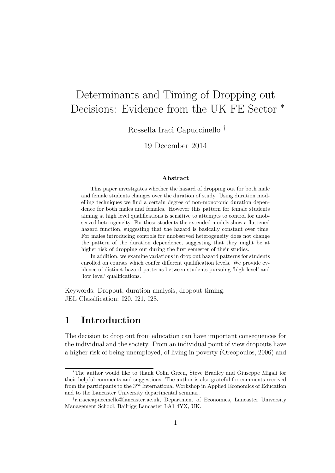# Determinants and Timing of Dropping out Decisions: Evidence from the UK FE Sector <sup>∗</sup>

Rossella Iraci Capuccinello †

19 December 2014

#### Abstract

This paper investigates whether the hazard of dropping out for both male and female students changes over the duration of study. Using duration modelling techniques we find a certain degree of non-monotonic duration dependence for both males and females. However this pattern for female students aiming at high level qualifications is sensitive to attempts to control for unobserved heterogeneity. For these students the extended models show a flattened hazard function, suggesting that the hazard is basically constant over time. For males introducing controls for unobserved heterogeneity does not change the pattern of the duration dependence, suggesting that they might be at higher risk of dropping out during the first semester of their studies.

In addition, we examine variations in drop out hazard patterns for students enrolled on courses which confer different qualification levels. We provide evidence of distinct hazard patterns between students pursuing 'high level' and 'low level' qualifications.

Keywords: Dropout, duration analysis, dropout timing. JEL Classification: I20, I21, I28.

# 1 Introduction

The decision to drop out from education can have important consequences for the individual and the society. From an individual point of view dropouts have a higher risk of being unemployed, of living in poverty (Oreopoulos, 2006) and

<sup>∗</sup>The author would like to thank Colin Green, Steve Bradley and Giuseppe Migali for their helpful comments and suggestions. The author is also grateful for comments received from the participants to the  $3^{rd}$  International Workshop in Applied Economics of Education and to the Lancaster University departmental seminar.

<sup>†</sup> r.iracicapuccinello@lancaster.ac.uk, Department of Economics, Lancaster University Management School, Bailrigg Lancaster LA1 4YX, UK.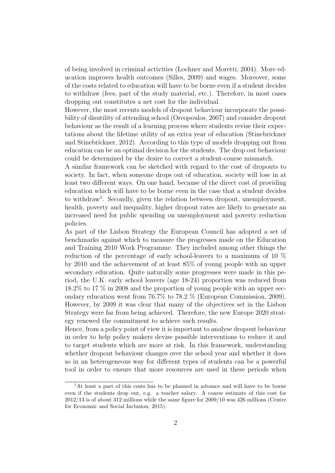of being involved in criminal activities (Lochner and Moretti, 2004). More education improves health outcomes (Silles, 2009) and wages. Moreover, some of the costs related to education will have to be borne even if a student decides to withdraw (fees, part of the study material, etc.). Therefore, in most cases dropping out constitutes a net cost for the individual.

However, the most recents models of dropout behaviour incorporate the possibility of disutility of attending school (Oreopoulos, 2007) and consider dropout behaviour as the result of a learning process where students revise their expectations about the lifetime utility of an extra year of education (Stinebrickner and Stinebrickner, 2012). According to this type of models dropping out from education can be an optimal decision for the students. The drop out behaviour could be determined by the desire to correct a student-course mismatch.

A similar framework can be sketched with regard to the cost of dropouts to society. In fact, when someone drops out of education, society will lose in at least two different ways. On one hand, because of the direct cost of providing education which will have to be borne even in the case that a student decides to withdraw<sup>1</sup>. Secondly, given the relation between dropout, unemployment, health, poverty and inequality, higher dropout rates are likely to generate an increased need for public spending on unemployment and poverty reduction policies.

As part of the Lisbon Strategy the European Council has adopted a set of benchmarks against which to measure the progresses made on the Education and Training 2010 Work Programme. They included among other things the reduction of the percentage of early school-leavers to a maximum of 10 % by 2010 and the achievement of at least 85% of young people with an upper secondary education. Quite naturally some progresses were made in this period, the U.K. early school leavers (age 18-24) proportion was reduced from 18.2% to 17 % in 2008 and the proportion of young people with an upper secondary education went from 76.7% to 78.2 % (European Commission, 2009). However, by 2009 it was clear that many of the objectives set in the Lisbon Strategy were far from being achieved. Therefore, the new Europe 2020 strategy renewed the commitment to achieve such results.

Hence, from a policy point of view it is important to analyse dropout behaviour in order to help policy makers devise possible interventions to reduce it and to target students which are more at risk. In this framework, understanding whether dropout behaviour changes over the school year and whether it does so in an heterogeneous way for different types of students can be a powerful tool in order to ensure that more resources are used in these periods when

<sup>1</sup>At least a part of this costs has to be planned in advance and will have to be borne even if the students drop out, e.g. a teacher salary. A coarse estimate of this cost for 2012/13 is of about 312 millions while the same figure for 2009/10 was 426 millions (Centre for Economic and Social Inclusion, 2015).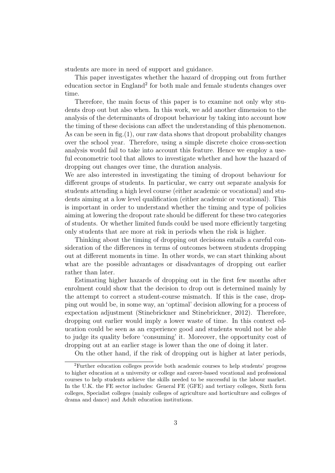students are more in need of support and guidance.

This paper investigates whether the hazard of dropping out from further education sector in England<sup>2</sup> for both male and female students changes over time.

Therefore, the main focus of this paper is to examine not only why students drop out but also when. In this work, we add another dimension to the analysis of the determinants of dropout behaviour by taking into account how the timing of these decisions can affect the understanding of this phenomenon. As can be seen in fig.  $(1)$ , our raw data shows that dropout probability changes over the school year. Therefore, using a simple discrete choice cross-section analysis would fail to take into account this feature. Hence we employ a useful econometric tool that allows to investigate whether and how the hazard of dropping out changes over time, the duration analysis.

We are also interested in investigating the timing of dropout behaviour for different groups of students. In particular, we carry out separate analysis for students attending a high level course (either academic or vocational) and students aiming at a low level qualification (either academic or vocational). This is important in order to understand whether the timing and type of policies aiming at lowering the dropout rate should be different for these two categories of students. Or whether limited funds could be used more efficiently targeting only students that are more at risk in periods when the risk is higher.

Thinking about the timing of dropping out decisions entails a careful consideration of the differences in terms of outcomes between students dropping out at different moments in time. In other words, we can start thinking about what are the possible advantages or disadvantages of dropping out earlier rather than later.

Estimating higher hazards of dropping out in the first few months after enrolment could show that the decision to drop out is determined mainly by the attempt to correct a student-course mismatch. If this is the case, dropping out would be, in some way, an 'optimal' decision allowing for a process of expectation adjustment (Stinebrickner and Stinebrickner, 2012). Therefore, dropping out earlier would imply a lower waste of time. In this context education could be seen as an experience good and students would not be able to judge its quality before 'consuming' it. Moreover, the opportunity cost of dropping out at an earlier stage is lower than the one of doing it later.

On the other hand, if the risk of dropping out is higher at later periods,

<sup>2</sup>Further education colleges provide both academic courses to help students' progress to higher education at a university or college and career-based vocational and professional courses to help students achieve the skills needed to be successful in the labour market. In the U.K. the FE sector includes: General FE (GFE) and tertiary colleges, Sixth form colleges, Specialist colleges (mainly colleges of agriculture and horticulture and colleges of drama and dance) and Adult education institutions.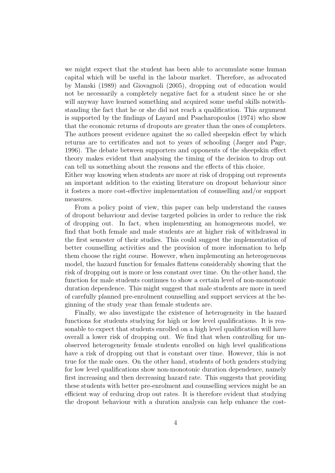we might expect that the student has been able to accumulate some human capital which will be useful in the labour market. Therefore, as advocated by Manski (1989) and Giovagnoli (2005), dropping out of education would not be necessarily a completely negative fact for a student since he or she will anyway have learned something and acquired some useful skills notwithstanding the fact that he or she did not reach a qualification. This argument is supported by the findings of Layard and Psacharopoulos (1974) who show that the economic returns of dropouts are greater than the ones of completers. The authors present evidence against the so called sheepskin effect by which returns are to certificates and not to years of schooling (Jaeger and Page, 1996). The debate between supporters and opponents of the sheepskin effect theory makes evident that analysing the timing of the decision to drop out can tell us something about the reasons and the effects of this choice.

Either way knowing when students are more at risk of dropping out represents an important addition to the existing literature on dropout behaviour since it fosters a more cost-effective implementation of counselling and/or support measures.

From a policy point of view, this paper can help understand the causes of dropout behaviour and devise targeted policies in order to reduce the risk of dropping out. In fact, when implementing an homogeneous model, we find that both female and male students are at higher risk of withdrawal in the first semester of their studies. This could suggest the implementation of better counselling activities and the provision of more information to help them choose the right course. However, when implementing an heterogeneous model, the hazard function for females flattens considerably showing that the risk of dropping out is more or less constant over time. On the other hand, the function for male students continues to show a certain level of non-monotonic duration dependence. This might suggest that male students are more in need of carefully planned pre-enrolment counselling and support services at the beginning of the study year than female students are.

Finally, we also investigate the existence of heterogeneity in the hazard functions for students studying for high or low level qualifications. It is reasonable to expect that students enrolled on a high level qualification will have overall a lower risk of dropping out. We find that when controlling for unobserved heterogeneity female students enrolled on high level qualifications have a risk of dropping out that is constant over time. However, this is not true for the male ones. On the other hand, students of both genders studying for low level qualifications show non-monotonic duration dependence, namely first increasing and then decreasing hazard rate. This suggests that providing these students with better pre-enrolment and counselling services might be an efficient way of reducing drop out rates. It is therefore evident that studying the dropout behaviour with a duration analysis can help enhance the cost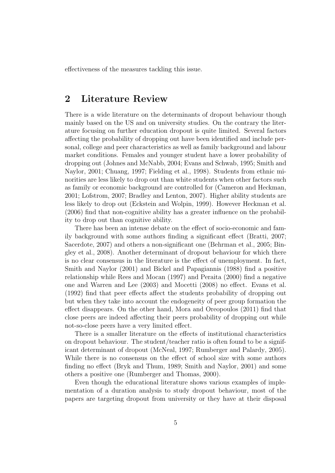effectiveness of the measures tackling this issue.

# 2 Literature Review

There is a wide literature on the determinants of dropout behaviour though mainly based on the US and on university studies. On the contrary the literature focusing on further education dropout is quite limited. Several factors affecting the probability of dropping out have been identified and include personal, college and peer characteristics as well as family background and labour market conditions. Females and younger student have a lower probability of dropping out (Johnes and McNabb, 2004; Evans and Schwab, 1995; Smith and Naylor, 2001; Chuang, 1997; Fielding et al., 1998). Students from ethnic minorities are less likely to drop out than white students when other factors such as family or economic background are controlled for (Cameron and Heckman, 2001; Lofstrom, 2007; Bradley and Lenton, 2007). Higher ability students are less likely to drop out (Eckstein and Wolpin, 1999). However Heckman et al. (2006) find that non-cognitive ability has a greater influence on the probability to drop out than cognitive ability.

There has been an intense debate on the effect of socio-economic and family background with some authors finding a significant effect (Bratti, 2007; Sacerdote, 2007) and others a non-significant one (Behrman et al., 2005; Bingley et al., 2008). Another determinant of dropout behaviour for which there is no clear consensus in the literature is the effect of unemployment. In fact, Smith and Naylor (2001) and Bickel and Papagiannis (1988) find a positive relationship while Rees and Mocan (1997) and Peraita (2000) find a negative one and Warren and Lee (2003) and Mocetti (2008) no effect. Evans et al. (1992) find that peer effects affect the students probability of dropping out but when they take into account the endogeneity of peer group formation the effect disappears. On the other hand, Mora and Oreopoulos (2011) find that close peers are indeed affecting their peers probability of dropping out while not-so-close peers have a very limited effect.

There is a smaller literature on the effects of institutional characteristics on dropout behaviour. The student/teacher ratio is often found to be a significant determinant of dropout (McNeal, 1997; Rumberger and Palardy, 2005). While there is no consensus on the effect of school size with some authors finding no effect (Bryk and Thum, 1989; Smith and Naylor, 2001) and some others a positive one (Rumberger and Thomas, 2000).

Even though the educational literature shows various examples of implementation of a duration analysis to study dropout behaviour, most of the papers are targeting dropout from university or they have at their disposal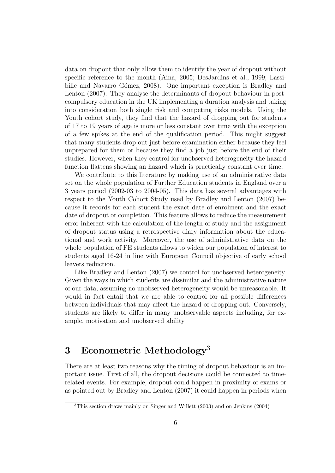data on dropout that only allow them to identify the year of dropout without specific reference to the month (Aina, 2005; DesJardins et al., 1999; Lassibille and Navarro Gómez, 2008). One important exception is Bradley and Lenton (2007). They analyse the determinants of dropout behaviour in postcompulsory education in the UK implementing a duration analysis and taking into consideration both single risk and competing risks models. Using the Youth cohort study, they find that the hazard of dropping out for students of 17 to 19 years of age is more or less constant over time with the exception of a few spikes at the end of the qualification period. This might suggest that many students drop out just before examination either because they feel unprepared for them or because they find a job just before the end of their studies. However, when they control for unobserved heterogeneity the hazard function flattens showing an hazard which is practically constant over time.

We contribute to this literature by making use of an administrative data set on the whole population of Further Education students in England over a 3 years period (2002-03 to 2004-05). This data has several advantages with respect to the Youth Cohort Study used by Bradley and Lenton (2007) because it records for each student the exact date of enrolment and the exact date of dropout or completion. This feature allows to reduce the measurement error inherent with the calculation of the length of study and the assignment of dropout status using a retrospective diary information about the educational and work activity. Moreover, the use of administrative data on the whole population of FE students allows to widen our population of interest to students aged 16-24 in line with European Council objective of early school leavers reduction.

Like Bradley and Lenton (2007) we control for unobserved heterogeneity. Given the ways in which students are dissimilar and the administrative nature of our data, assuming no unobserved heterogeneity would be unreasonable. It would in fact entail that we are able to control for all possible differences between individuals that may affect the hazard of dropping out. Conversely, students are likely to differ in many unobservable aspects including, for example, motivation and unobserved ability.

# 3 Econometric Methodology<sup>3</sup>

There are at least two reasons why the timing of dropout behaviour is an important issue. First of all, the dropout decisions could be connected to timerelated events. For example, dropout could happen in proximity of exams or as pointed out by Bradley and Lenton (2007) it could happen in periods when

<sup>3</sup>This section draws mainly on Singer and Willett (2003) and on Jenkins (2004)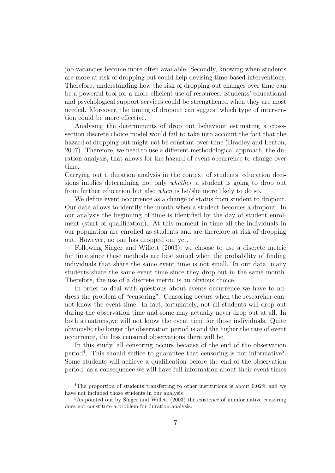job vacancies become more often available. Secondly, knowing when students are more at risk of dropping out could help devising time-based interventions. Therefore, understanding how the risk of dropping out changes over time can be a powerful tool for a more efficient use of resources. Students' educational and psychological support services could be strengthened when they are most needed. Moreover, the timing of dropout can suggest which type of intervention could be more effective.

Analysing the determinants of drop out behaviour estimating a crosssection discrete choice model would fail to take into account the fact that the hazard of dropping out might not be constant over-time (Bradley and Lenton, 2007). Therefore, we need to use a different methodological approach, the duration analysis, that allows for the hazard of event occurrence to change over time.

Carrying out a duration analysis in the context of students' education decisions implies determining not only whether a student is going to drop out from further education but also when is he/she more likely to do so.

We define event occurrence as a change of status from student to dropout. Our data allows to identify the month when a student becomes a dropout. In our analysis the beginning of time is identified by the day of student enrolment (start of qualification). At this moment in time all the individuals in our population are enrolled as students and are therefore at risk of dropping out. However, no one has dropped out yet.

Following Singer and Willett (2003), we choose to use a discrete metric for time since these methods are best suited when the probability of finding individuals that share the same event time is not small. In our data, many students share the same event time since they drop out in the same month. Therefore, the use of a discrete metric is an obvious choice.

In order to deal with questions about events occurrence we have to address the problem of "censoring". Censoring occurs when the researcher cannot know the event time. In fact, fortunately, not all students will drop out during the observation time and some may actually never drop out at all. In both situations,we will not know the event time for those individuals. Quite obviously, the longer the observation period is and the higher the rate of event occurrence, the less censored observations there will be.

In this study, all censoring occurs because of the end of the observation period<sup>4</sup>. This should suffice to guarantee that censoring is not informative<sup>5</sup>. Some students will achieve a qualification before the end of the observation period, as a consequence we will have full information about their event times

<sup>4</sup>The proportion of students transferring to other institutions is about 0.02% and we have not included those students in our analysis

 $5$ As pointed out by Singer and Willett (2003) the existence of uninformative censoring does not constitute a problem for duration analysis.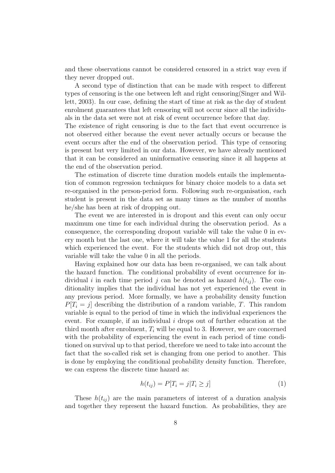and these observations cannot be considered censored in a strict way even if they never dropped out.

A second type of distinction that can be made with respect to different types of censoring is the one between left and right censoring(Singer and Willett, 2003). In our case, defining the start of time at risk as the day of student enrolment guarantees that left censoring will not occur since all the individuals in the data set were not at risk of event occurrence before that day.

The existence of right censoring is due to the fact that event occurrence is not observed either because the event never actually occurs or because the event occurs after the end of the observation period. This type of censoring is present but very limited in our data. However, we have already mentioned that it can be considered an uninformative censoring since it all happens at the end of the observation period.

The estimation of discrete time duration models entails the implementation of common regression techniques for binary choice models to a data set re-organised in the person-period form. Following such re-organisation, each student is present in the data set as many times as the number of months he/she has been at risk of dropping out.

The event we are interested in is dropout and this event can only occur maximum one time for each individual during the observation period. As a consequence, the corresponding dropout variable will take the value 0 in every month but the last one, where it will take the value 1 for all the students which experienced the event. For the students which did not drop out, this variable will take the value 0 in all the periods.

Having explained how our data has been re-organised, we can talk about the hazard function. The conditional probability of event occurrence for individual i in each time period j can be denoted as hazard  $h(t_{ij})$ . The conditionality implies that the individual has not yet experienced the event in any previous period. More formally, we have a probability density function  $P[T_i = j]$  describing the distribution of a random variable, T. This random variable is equal to the period of time in which the individual experiences the event. For example, if an individual i drops out of further education at the third month after enrolment,  $T_i$  will be equal to 3. However, we are concerned with the probability of experiencing the event in each period of time conditioned on survival up to that period, therefore we need to take into account the fact that the so-called risk set is changing from one period to another. This is done by employing the conditional probability density function. Therefore, we can express the discrete time hazard as:

$$
h(t_{ij}) = P[T_i = j | T_i \ge j]
$$
\n<sup>(1)</sup>

These  $h(t_{ij})$  are the main parameters of interest of a duration analysis and together they represent the hazard function. As probabilities, they are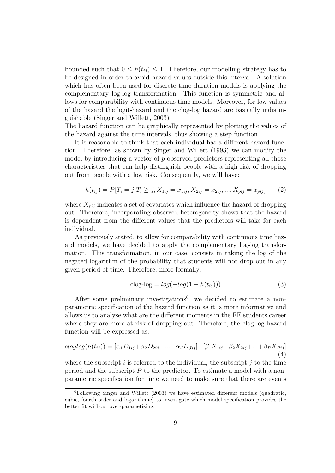bounded such that  $0 \leq h(t_{ij}) \leq 1$ . Therefore, our modelling strategy has to be designed in order to avoid hazard values outside this interval. A solution which has often been used for discrete time duration models is applying the complementary log-log transformation. This function is symmetric and allows for comparability with continuous time models. Moreover, for low values of the hazard the logit-hazard and the clog-log hazard are basically indistinguishable (Singer and Willett, 2003).

The hazard function can be graphically represented by plotting the values of the hazard against the time intervals, thus showing a step function.

It is reasonable to think that each individual has a different hazard function. Therefore, as shown by Singer and Willett (1993) we can modify the model by introducing a vector of  $p$  observed predictors representing all those characteristics that can help distinguish people with a high risk of dropping out from people with a low risk. Consequently, we will have:

$$
h(t_{ij}) = P[T_i = j | T_i \ge j, X_{1ij} = x_{1ij}, X_{2ij} = x_{2ij}, ..., X_{pij} = x_{pij}] \tag{2}
$$

where  $X_{pij}$  indicates a set of covariates which influence the hazard of dropping out. Therefore, incorporating observed heterogeneity shows that the hazard is dependent from the different values that the predictors will take for each individual.

As previously stated, to allow for comparability with continuous time hazard models, we have decided to apply the complementary log-log transformation. This transformation, in our case, consists in taking the log of the negated logarithm of the probability that students will not drop out in any given period of time. Therefore, more formally:

$$
c \log - \log(-\log(1 - h(t_{ij})))\tag{3}
$$

After some preliminary investigations<sup>6</sup>, we decided to estimate a nonparametric specification of the hazard function as it is more informative and allows us to analyse what are the different moments in the FE students career where they are more at risk of dropping out. Therefore, the clog-log hazard function will be expressed as:

$$
cloglog(h(t_{ij})) = [\alpha_1 D_{1ij} + \alpha_2 D_{2ij} + ... + \alpha_J D_{Jij}] + [\beta_1 X_{1ij} + \beta_2 X_{2ij} + ... + \beta_P X_{Pij}]
$$
\n(4)

where the subscript i is referred to the individual, the subscript j to the time period and the subscript P to the predictor. To estimate a model with a nonparametric specification for time we need to make sure that there are events

 ${}^{6}$ Following Singer and Willett (2003) we have estimated different models (quadratic, cubic, fourth order and logarithmic) to investigate which model specification provides the better fit without over-parametizing.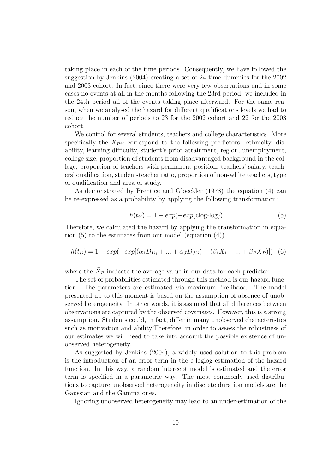taking place in each of the time periods. Consequently, we have followed the suggestion by Jenkins (2004) creating a set of 24 time dummies for the 2002 and 2003 cohort. In fact, since there were very few observations and in some cases no events at all in the months following the 23rd period, we included in the 24th period all of the events taking place afterward. For the same reason, when we analysed the hazard for different qualifications levels we had to reduce the number of periods to 23 for the 2002 cohort and 22 for the 2003 cohort.

We control for several students, teachers and college characteristics. More specifically the  $X_{Pij}$  correspond to the following predictors: ethnicity, disability, learning difficulty, student's prior attainment, region, unemployment, college size, proportion of students from disadvantaged background in the college, proportion of teachers with permanent position, teachers' salary, teachers' qualification, student-teacher ratio, proportion of non-white teachers, type of qualification and area of study.

As demonstrated by Prentice and Gloeckler (1978) the equation (4) can be re-expressed as a probability by applying the following transformation:

$$
h(t_{ij}) = 1 - exp(-exp(c \log - \log))
$$
\n(5)

Therefore, we calculated the hazard by applying the transformation in equation (5) to the estimates from our model (equation (4))

$$
h(t_{ij}) = 1 - exp(-exp[(\alpha_1 D_{1ij} + ... + \alpha_J D_{Jij}) + (\beta_1 \bar{X}_1 + ... + \beta_P \bar{X}_P)])
$$
 (6)

where the  $\bar{X}_P$  indicate the average value in our data for each predictor.

The set of probabilities estimated through this method is our hazard function. The parameters are estimated via maximum likelihood. The model presented up to this moment is based on the assumption of absence of unobserved heterogeneity. In other words, it is assumed that all differences between observations are captured by the observed covariates. However, this is a strong assumption. Students could, in fact, differ in many unobserved characteristics such as motivation and ability.Therefore, in order to assess the robustness of our estimates we will need to take into account the possible existence of unobserved heterogeneity.

As suggested by Jenkins (2004), a widely used solution to this problem is the introduction of an error term in the c-loglog estimation of the hazard function. In this way, a random intercept model is estimated and the error term is specified in a parametric way. The most commonly used distributions to capture unobserved heterogeneity in discrete duration models are the Gaussian and the Gamma ones.

Ignoring unobserved heterogeneity may lead to an under-estimation of the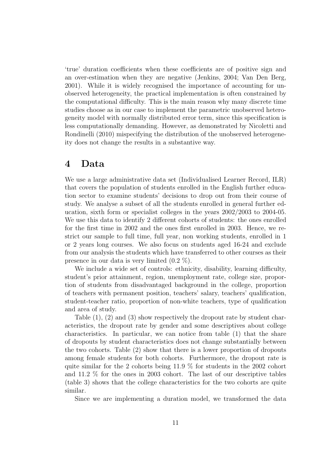'true' duration coefficients when these coefficients are of positive sign and an over-estimation when they are negative (Jenkins, 2004; Van Den Berg, 2001). While it is widely recognised the importance of accounting for unobserved heterogeneity, the practical implementation is often constrained by the computational difficulty. This is the main reason why many discrete time studies choose as in our case to implement the parametric unobserved heterogeneity model with normally distributed error term, since this specification is less computationally demanding. However, as demonstrated by Nicoletti and Rondinelli (2010) mispecifying the distribution of the unobserved heterogeneity does not change the results in a substantive way.

### 4 Data

We use a large administrative data set (Individualised Learner Record, ILR) that covers the population of students enrolled in the English further education sector to examine students' decisions to drop out from their course of study. We analyse a subset of all the students enrolled in general further education, sixth form or specialist colleges in the years 2002/2003 to 2004-05. We use this data to identify 2 different cohorts of students: the ones enrolled for the first time in 2002 and the ones first enrolled in 2003. Hence, we restrict our sample to full time, full year, non working students, enrolled in 1 or 2 years long courses. We also focus on students aged 16-24 and exclude from our analysis the students which have transferred to other courses as their presence in our data is very limited (0.2 %).

We include a wide set of controls: ethnicity, disability, learning difficulty, student's prior attainment, region, unemployment rate, college size, proportion of students from disadvantaged background in the college, proportion of teachers with permanent position, teachers' salary, teachers' qualification, student-teacher ratio, proportion of non-white teachers, type of qualification and area of study.

Table  $(1)$ ,  $(2)$  and  $(3)$  show respectively the dropout rate by student characteristics, the dropout rate by gender and some descriptives about college characteristics. In particular, we can notice from table (1) that the share of dropouts by student characteristics does not change substantially between the two cohorts. Table (2) show that there is a lower proportion of dropouts among female students for both cohorts. Furthermore, the dropout rate is quite similar for the 2 cohorts being 11.9 % for students in the 2002 cohort and 11.2 % for the ones in 2003 cohort. The last of our descriptive tables (table 3) shows that the college characteristics for the two cohorts are quite similar.

Since we are implementing a duration model, we transformed the data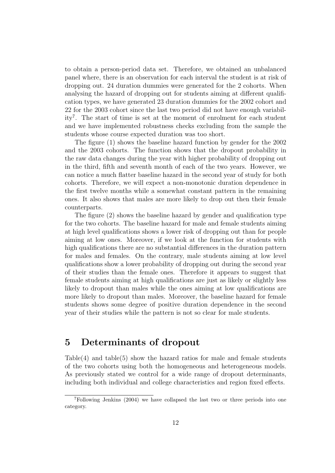to obtain a person-period data set. Therefore, we obtained an unbalanced panel where, there is an observation for each interval the student is at risk of dropping out. 24 duration dummies were generated for the 2 cohorts. When analysing the hazard of dropping out for students aiming at different qualification types, we have generated 23 duration dummies for the 2002 cohort and 22 for the 2003 cohort since the last two period did not have enough variability<sup>7</sup> . The start of time is set at the moment of enrolment for each student and we have implemented robustness checks excluding from the sample the students whose course expected duration was too short.

The figure (1) shows the baseline hazard function by gender for the 2002 and the 2003 cohorts. The function shows that the dropout probability in the raw data changes during the year with higher probability of dropping out in the third, fifth and seventh month of each of the two years. However, we can notice a much flatter baseline hazard in the second year of study for both cohorts. Therefore, we will expect a non-monotonic duration dependence in the first twelve months while a somewhat constant pattern in the remaining ones. It also shows that males are more likely to drop out then their female counterparts.

The figure (2) shows the baseline hazard by gender and qualification type for the two cohorts. The baseline hazard for male and female students aiming at high level qualifications shows a lower risk of dropping out than for people aiming at low ones. Moreover, if we look at the function for students with high qualifications there are no substantial differences in the duration pattern for males and females. On the contrary, male students aiming at low level qualifications show a lower probability of dropping out during the second year of their studies than the female ones. Therefore it appears to suggest that female students aiming at high qualifications are just as likely or slightly less likely to dropout than males while the ones aiming at low qualifications are more likely to dropout than males. Moreover, the baseline hazard for female students shows some degree of positive duration dependence in the second year of their studies while the pattern is not so clear for male students.

# 5 Determinants of dropout

Table $(4)$  and table $(5)$  show the hazard ratios for male and female students of the two cohorts using both the homogeneous and heterogeneous models. As previously stated we control for a wide range of dropout determinants, including both individual and college characteristics and region fixed effects.

<sup>7</sup>Following Jenkins (2004) we have collapsed the last two or three periods into one category.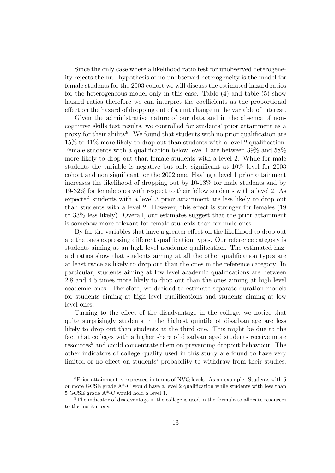Since the only case where a likelihood ratio test for unobserved heterogeneity rejects the null hypothesis of no unobserved heterogeneity is the model for female students for the 2003 cohort we will discuss the estimated hazard ratios for the heterogeneous model only in this case. Table (4) and table (5) show hazard ratios therefore we can interpret the coefficients as the proportional effect on the hazard of dropping out of a unit change in the variable of interest.

Given the administrative nature of our data and in the absence of noncognitive skills test results, we controlled for students' prior attainment as a proxy for their ability<sup>8</sup>. We found that students with no prior qualification are 15% to 41% more likely to drop out than students with a level 2 qualification. Female students with a qualification below level 1 are between 39% and 58% more likely to drop out than female students with a level 2. While for male students the variable is negative but only significant at 10% level for 2003 cohort and non significant for the 2002 one. Having a level 1 prior attainment increases the likelihood of dropping out by 10-13% for male students and by 19-32% for female ones with respect to their fellow students with a level 2. As expected students with a level 3 prior attainment are less likely to drop out than students with a level 2. However, this effect is stronger for females (19 to 33% less likely). Overall, our estimates suggest that the prior attainment is somehow more relevant for female students than for male ones.

By far the variables that have a greater effect on the likelihood to drop out are the ones expressing different qualification types. Our reference category is students aiming at an high level academic qualification. The estimated hazard ratios show that students aiming at all the other qualification types are at least twice as likely to drop out than the ones in the reference category. In particular, students aiming at low level academic qualifications are between 2.8 and 4.5 times more likely to drop out than the ones aiming at high level academic ones. Therefore, we decided to estimate separate duration models for students aiming at high level qualifications and students aiming at low level ones.

Turning to the effect of the disadvantage in the college, we notice that quite surprisingly students in the highest quintile of disadvantage are less likely to drop out than students at the third one. This might be due to the fact that colleges with a higher share of disadvantaged students receive more resources<sup>9</sup> and could concentrate them on preventing dropout behaviour. The other indicators of college quality used in this study are found to have very limited or no effect on students' probability to withdraw from their studies.

<sup>8</sup>Prior attainment is expressed in terms of NVQ levels. As an example: Students with 5 or more GCSE grade A\*-C would have a level 2 qualification while students with less than 5 GCSE grade A\*-C would hold a level 1.

<sup>9</sup>The indicator of disadvantage in the college is used in the formula to allocate resources to the institutions.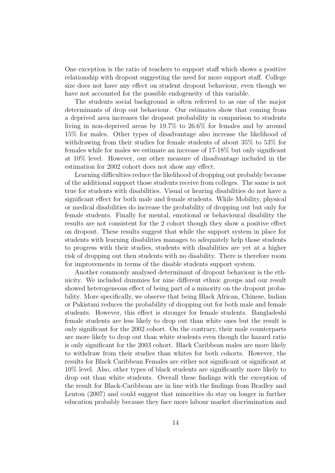One exception is the ratio of teachers to support staff which shows a positive relationship with dropout suggesting the need for more support staff. College size does not have any effect on student dropout behaviour, even though we have not accounted for the possible endogeneity of this variable.

The students social background is often referred to as one of the major determinants of drop out behaviour. Our estimates show that coming from a deprived area increases the dropout probability in comparison to students living in non-deprived areas by 19.7% to 26.6% for females and by around 15% for males. Other types of disadvantage also increase the likelihood of withdrawing from their studies for female students of about 35% to 53% for females while for males we estimate an increase of 17-18% but only significant at 10% level. However, our other measure of disadvantage included in the estimation for 2002 cohort does not show any effect.

Learning difficulties reduce the likelihood of dropping out probably because of the additional support those students receive from colleges. The same is not true for students with disabilities. Visual or hearing disabilities do not have a significant effect for both male and female students. While Mobility, physical or medical disabilities do increase the probability of dropping out but only for female students. Finally for mental, emotional or behavioural disability the results are not consistent for the 2 cohort though they show a positive effect on dropout. These results suggest that while the support system in place for students with learning disabilities manages to adequately help those students to progress with their studies, students with disabilities are yet at a higher risk of dropping out then students with no disability. There is therefore room for improvements in terms of the disable students support system.

Another commonly analysed determinant of dropout behaviour is the ethnicity. We included dummies for nine different ethnic groups and our result showed heterogeneous effect of being part of a minority on the dropout probability. More specifically, we observe that being Black African, Chinese, Indian or Pakistani reduces the probability of dropping out for both male and female students. However, this effect is stronger for female students. Bangladeshi female students are less likely to drop out than white ones but the result is only significant for the 2002 cohort. On the contrary, their male counterparts are more likely to drop out than white students even though the hazard ratio is only significant for the 2003 cohort. Black Caribbean males are more likely to withdraw from their studies than whites for both cohorts. However, the results for Black Caribbean Females are either not significant or significant at 10% level. Also, other types of black students are significantly more likely to drop out than white students. Overall these findings with the exception of the result for Black-Caribbean are in line with the findings from Bradley and Lenton (2007) and could suggest that minorities do stay on longer in further education probably because they face more labour market discrimination and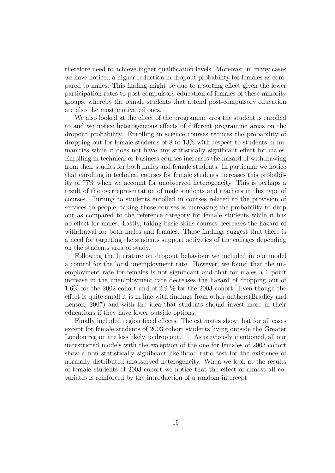therefore need to achieve higher qualification levels. Moreover, in many cases we have noticed a higher reduction in dropout probability for females as compared to males. This finding might be due to a sorting effect given the lower participation rates to post-compulsory education of females of these minority groups, whereby the female students that attend post-compulsory education are also the most motivated ones.

We also looked at the effect of the programme area the student is enrolled to and we notice heterogeneous effects of different programme areas on the dropout probability. Enrolling in science courses reduces the probability of dropping out for female students of 8 to 13% with respect to students in humanities while it does not have any statistically significant effect for males. Enrolling in technical or business courses increases the hazard of withdrawing from their studies for both males and female students. In particular we notice that enrolling in technical courses for female students increases this probability of 77% when we account for unobserved heterogeneity. This is perhaps a result of the overrepresentation of male students and teachers in this type of courses. Turning to students enrolled in courses related to the provision of services to people, taking those courses is increasing the probability to drop out as compared to the reference category for female students while it has no effect for males. Lastly, taking basic skills courses decreases the hazard of withdrawal for both males and females. These findings suggest that there is a need for targeting the students support activities of the colleges depending on the students area of study.

Following the literature on dropout behaviour we included in our model a control for the local unemployment rate. However, we found that the unemployment rate for females is not significant and that for males a 1 point increase in the unemployment rate decreases the hazard of dropping out of 1.6% for the 2002 cohort and of 2.9 % for the 2003 cohort. Even though the effect is quite small it is in line with findings from other authors(Bradley and Lenton, 2007) and with the idea that students should invest more in their educations if they have lower outside options.

Finally included region fixed effects. The estimates show that for all cases except for female students of 2003 cohort students living outside the Greater London region are less likely to drop out. As previously mentioned, all our unrestricted models with the exception of the one for females of 2003 cohort show a non statistically significant likelihood ratio test for the existence of normally distributed unobserved heterogeneity. When we look at the results of female students of 2003 cohort we notice that the effect of almost all covariates is reinforced by the introduction of a random intercept.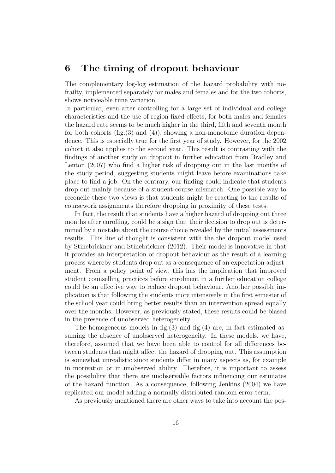# 6 The timing of dropout behaviour

The complementary log-log estimation of the hazard probability with nofrailty, implemented separately for males and females and for the two cohorts, shows noticeable time variation.

In particular, even after controlling for a large set of individual and college characteristics and the use of region fixed effects, for both males and females the hazard rate seems to be much higher in the third, fifth and seventh month for both cohorts (fig.  $(3)$  and  $(4)$ ), showing a non-monotonic duration dependence. This is especially true for the first year of study. However, for the 2002 cohort it also applies to the second year. This result is contrasting with the findings of another study on dropout in further education from Bradley and Lenton (2007) who find a higher risk of dropping out in the last months of the study period, suggesting students might leave before examinations take place to find a job. On the contrary, our finding could indicate that students drop out mainly because of a student-course mismatch. One possible way to reconcile these two views is that students might be reacting to the results of coursework assignments therefore dropping in proximity of these tests.

In fact, the result that students have a higher hazard of dropping out three months after enrolling, could be a sign that their decision to drop out is determined by a mistake about the course choice revealed by the initial assessments results. This line of thought is consistent with the the dropout model used by Stinebrickner and Stinebrickner (2012). Their model is innovative in that it provides an interpretation of dropout behaviour as the result of a learning process whereby students drop out as a consequence of an expectation adjustment. From a policy point of view, this has the implication that improved student counselling practices before enrolment in a further education college could be an effective way to reduce dropout behaviour. Another possible implication is that following the students more intensively in the first semester of the school year could bring better results than an intervention spread equally over the months. However, as previously stated, these results could be biased in the presence of unobserved heterogeneity.

The homogeneous models in fig.  $(3)$  and fig.  $(4)$  are, in fact estimated assuming the absence of unobserved heterogeneity. In these models, we have, therefore, assumed that we have been able to control for all differences between students that might affect the hazard of dropping out. This assumption is somewhat unrealistic since students differ in many aspects as, for example in motivation or in unobserved ability. Therefore, it is important to assess the possibility that there are unobservable factors influencing our estimates of the hazard function. As a consequence, following Jenkins (2004) we have replicated our model adding a normally distributed random error term.

As previously mentioned there are other ways to take into account the pos-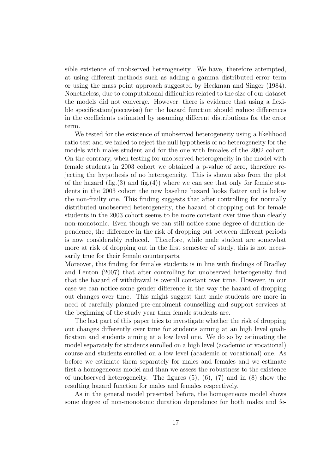sible existence of unobserved heterogeneity. We have, therefore attempted, at using different methods such as adding a gamma distributed error term or using the mass point approach suggested by Heckman and Singer (1984). Nonetheless, due to computational difficulties related to the size of our dataset the models did not converge. However, there is evidence that using a flexible specification(piecewise) for the hazard function should reduce differences in the coefficients estimated by assuming different distributions for the error term.

We tested for the existence of unobserved heterogeneity using a likelihood ratio test and we failed to reject the null hypothesis of no heterogeneity for the models with males student and for the one with females of the 2002 cohort. On the contrary, when testing for unobserved heterogeneity in the model with female students in 2003 cohort we obtained a p-value of zero, therefore rejecting the hypothesis of no heterogeneity. This is shown also from the plot of the hazard  $(fig.(3))$  and  $fig.(4))$  where we can see that only for female students in the 2003 cohort the new baseline hazard looks flatter and is below the non-frailty one. This finding suggests that after controlling for normally distributed unobserved heterogeneity, the hazard of dropping out for female students in the 2003 cohort seems to be more constant over time than clearly non-monotonic. Even though we can still notice some degree of duration dependence, the difference in the risk of dropping out between different periods is now considerably reduced. Therefore, while male student are somewhat more at risk of dropping out in the first semester of study, this is not necessarily true for their female counterparts.

Moreover, this finding for females students is in line with findings of Bradley and Lenton (2007) that after controlling for unobserved heterogeneity find that the hazard of withdrawal is overall constant over time. However, in our case we can notice some gender difference in the way the hazard of dropping out changes over time. This might suggest that male students are more in need of carefully planned pre-enrolment counselling and support services at the beginning of the study year than female students are.

The last part of this paper tries to investigate whether the risk of dropping out changes differently over time for students aiming at an high level qualification and students aiming at a low level one. We do so by estimating the model separately for students enrolled on a high level (academic or vocational) course and students enrolled on a low level (academic or vocational) one. As before we estimate them separately for males and females and we estimate first a homogeneous model and than we assess the robustness to the existence of unobserved heterogeneity. The figures  $(5)$ ,  $(6)$ ,  $(7)$  and in  $(8)$  show the resulting hazard function for males and females respectively.

As in the general model presented before, the homogeneous model shows some degree of non-monotonic duration dependence for both males and fe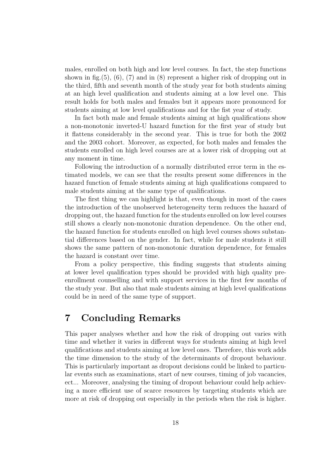males, enrolled on both high and low level courses. In fact, the step functions shown in fig.  $(5)$ ,  $(6)$ ,  $(7)$  and in  $(8)$  represent a higher risk of dropping out in the third, fifth and seventh month of the study year for both students aiming at an high level qualification and students aiming at a low level one. This result holds for both males and females but it appears more pronounced for students aiming at low level qualifications and for the fist year of study.

In fact both male and female students aiming at high qualifications show a non-monotonic inverted-U hazard function for the first year of study but it flattens considerably in the second year. This is true for both the 2002 and the 2003 cohort. Moreover, as expected, for both males and females the students enrolled on high level courses are at a lower risk of dropping out at any moment in time.

Following the introduction of a normally distributed error term in the estimated models, we can see that the results present some differences in the hazard function of female students aiming at high qualifications compared to male students aiming at the same type of qualifications.

The first thing we can highlight is that, even though in most of the cases the introduction of the unobserved heterogeneity term reduces the hazard of dropping out, the hazard function for the students enrolled on low level courses still shows a clearly non-monotonic duration dependence. On the other end, the hazard function for students enrolled on high level courses shows substantial differences based on the gender. In fact, while for male students it still shows the same pattern of non-monotonic duration dependence, for females the hazard is constant over time.

From a policy perspective, this finding suggests that students aiming at lower level qualification types should be provided with high quality preenrollment counselling and with support services in the first few months of the study year. But also that male students aiming at high level qualifications could be in need of the same type of support.

# 7 Concluding Remarks

This paper analyses whether and how the risk of dropping out varies with time and whether it varies in different ways for students aiming at high level qualifications and students aiming at low level ones. Therefore, this work adds the time dimension to the study of the determinants of dropout behaviour. This is particularly important as dropout decisions could be linked to particular events such as examinations, start of new courses, timing of job vacancies, ect... Moreover, analysing the timing of dropout behaviour could help achieving a more efficient use of scarce resources by targeting students which are more at risk of dropping out especially in the periods when the risk is higher.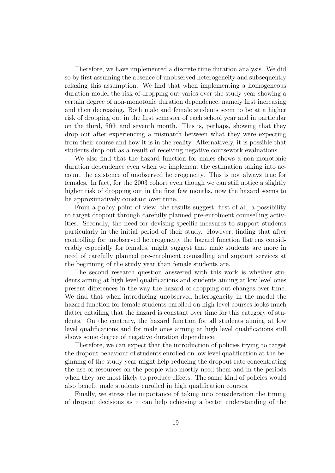Therefore, we have implemented a discrete time duration analysis. We did so by first assuming the absence of unobserved heterogeneity and subsequently relaxing this assumption. We find that when implementing a homogeneous duration model the risk of dropping out varies over the study year showing a certain degree of non-monotonic duration dependence, namely first increasing and then decreasing. Both male and female students seem to be at a higher risk of dropping out in the first semester of each school year and in particular on the third, fifth and seventh month. This is, perhaps, showing that they drop out after experiencing a mismatch between what they were expecting from their course and how it is in the reality. Alternatively, it is possible that students drop out as a result of receiving negative coursework evaluations.

We also find that the hazard function for males shows a non-monotonic duration dependence even when we implement the estimation taking into account the existence of unobserved heterogeneity. This is not always true for females. In fact, for the 2003 cohort even though we can still notice a slightly higher risk of dropping out in the first few months, now the hazard seems to be approximatively constant over time.

From a policy point of view, the results suggest, first of all, a possibility to target dropout through carefully planned pre-enrolment counselling activities. Secondly, the need for devising specific measures to support students particularly in the initial period of their study. However, finding that after controlling for unobserved heterogeneity the hazard function flattens considerably especially for females, might suggest that male students are more in need of carefully planned pre-enrolment counselling and support services at the beginning of the study year than female students are.

The second research question answered with this work is whether students aiming at high level qualifications and students aiming at low level ones present differences in the way the hazard of dropping out changes over time. We find that when introducing unobserved heterogeneity in the model the hazard function for female students enrolled on high level courses looks much flatter entailing that the hazard is constant over time for this category of students. On the contrary, the hazard function for all students aiming at low level qualifications and for male ones aiming at high level qualifications still shows some degree of negative duration dependence.

Therefore, we can expect that the introduction of policies trying to target the dropout behaviour of students enrolled on low level qualification at the beginning of the study year might help reducing the dropout rate concentrating the use of resources on the people who mostly need them and in the periods when they are most likely to produce effects. The same kind of policies would also benefit male students enrolled in high qualification courses.

Finally, we stress the importance of taking into consideration the timing of dropout decisions as it can help achieving a better understanding of the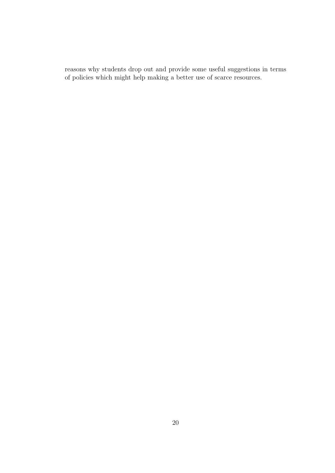reasons why students drop out and provide some useful suggestions in terms of policies which might help making a better use of scarce resources.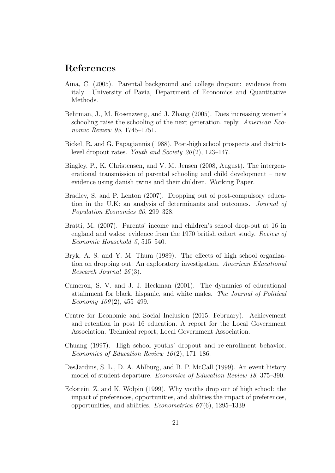# References

- Aina, C. (2005). Parental background and college dropout: evidence from italy. University of Pavia, Department of Economics and Quantitative Methods.
- Behrman, J., M. Rosenzweig, and J. Zhang (2005). Does increasing women's schooling raise the schooling of the next generation. reply. American Economic Review 95, 1745–1751.
- Bickel, R. and G. Papagiannis (1988). Post-high school prospects and districtlevel dropout rates. Youth and Society  $20(2)$ , 123–147.
- Bingley, P., K. Christensen, and V. M. Jensen (2008, August). The intergenerational transmission of parental schooling and child development – new evidence using danish twins and their children. Working Paper.
- Bradley, S. and P. Lenton (2007). Dropping out of post-compulsory education in the U.K: an analysis of determinants and outcomes. Journal of Population Economics 20, 299–328.
- Bratti, M. (2007). Parents' income and children's school drop-out at 16 in england and wales: evidence from the 1970 british cohort study. Review of Economic Household 5, 515–540.
- Bryk, A. S. and Y. M. Thum (1989). The effects of high school organization on dropping out: An exploratory investigation. American Educational Research Journal 26 (3).
- Cameron, S. V. and J. J. Heckman (2001). The dynamics of educational attainment for black, hispanic, and white males. The Journal of Political Economy  $109(2)$ , 455–499.
- Centre for Economic and Social Inclusion (2015, February). Achievement and retention in post 16 education. A report for the Local Government Association. Technical report, Local Government Association.
- Chuang (1997). High school youths' dropout and re-enrollment behavior. Economics of Education Review 16 (2), 171–186.
- DesJardins, S. L., D. A. Ahlburg, and B. P. McCall (1999). An event history model of student departure. Economics of Education Review 18, 375–390.
- Eckstein, Z. and K. Wolpin (1999). Why youths drop out of high school: the impact of preferences, opportunities, and abilities the impact of preferences, opportunities, and abilities. *Econometrica 67(6)*, 1295–1339.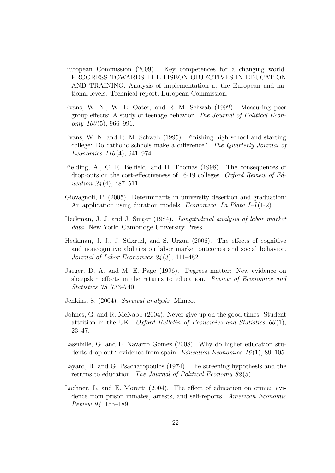- European Commission (2009). Key competences for a changing world. PROGRESS TOWARDS THE LISBON OBJECTIVES IN EDUCATION AND TRAINING. Analysis of implementation at the European and national levels. Technical report, European Commission.
- Evans, W. N., W. E. Oates, and R. M. Schwab (1992). Measuring peer group effects: A study of teenage behavior. The Journal of Political Econ $omy \; 100(5), \; 966-991.$
- Evans, W. N. and R. M. Schwab (1995). Finishing high school and starting college: Do catholic schools make a difference? The Quarterly Journal of Economics  $110(4)$ , 941–974.
- Fielding, A., C. R. Belfield, and H. Thomas (1998). The consequences of drop-outs on the cost-effectiveness of 16-19 colleges. Oxford Review of Education  $24(4)$ , 487-511.
- Giovagnoli, P. (2005). Determinants in university desertion and graduation: An application using duration models. *Economica*, La Plata L-I(1-2).
- Heckman, J. J. and J. Singer (1984). Longitudinal analysis of labor market data. New York: Cambridge University Press.
- Heckman, J. J., J. Stixrud, and S. Urzua (2006). The effects of cognitive and noncognitive abilities on labor market outcomes and social behavior. Journal of Labor Economics 24 (3), 411–482.
- Jaeger, D. A. and M. E. Page (1996). Degrees matter: New evidence on sheepskin effects in the returns to education. Review of Economics and Statistics 78, 733–740.
- Jenkins, S. (2004). Survival analysis. Mimeo.
- Johnes, G. and R. McNabb (2004). Never give up on the good times: Student attrition in the UK. Oxford Bulletin of Economics and Statistics  $66(1)$ , 23–47.
- Lassibille, G. and L. Navarro Gómez (2008). Why do higher education students drop out? evidence from spain. *Education Economics*  $16(1)$ , 89–105.
- Layard, R. and G. Psacharopoulos (1974). The screening hypothesis and the returns to education. The Journal of Political Economy 82(5).
- Lochner, L. and E. Moretti (2004). The effect of education on crime: evidence from prison inmates, arrests, and self-reports. American Economic Review 94, 155–189.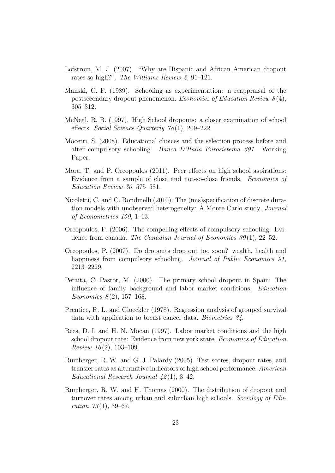- Lofstrom, M. J. (2007). "Why are Hispanic and African American dropout rates so high?". The Williams Review 2, 91–121.
- Manski, C. F. (1989). Schooling as experimentation: a reappraisal of the postsecondary dropout phenomenon. Economics of Education Review  $8(4)$ , 305–312.
- McNeal, R. B. (1997). High School dropouts: a closer examination of school effects. Social Science Quarterly 78 (1), 209–222.
- Mocetti, S. (2008). Educational choices and the selection process before and after compulsory schooling. Banca D'Italia Eurosistema 691. Working Paper.
- Mora, T. and P. Oreopoulos (2011). Peer effects on high school aspirations: Evidence from a sample of close and not-so-close friends. Economics of Education Review 30, 575–581.
- Nicoletti, C. and C. Rondinelli (2010). The (mis)specification of discrete duration models with unobserved heterogeneity: A Monte Carlo study. Journal of Econometrics 159, 1–13.
- Oreopoulos, P. (2006). The compelling effects of compulsory schooling: Evidence from canada. The Canadian Journal of Economics  $39(1)$ ,  $22-52$ .
- Oreopoulos, P. (2007). Do dropouts drop out too soon? wealth, health and happiness from compulsory schooling. Journal of Public Economics 91, 2213–2229.
- Peraita, C. Pastor, M. (2000). The primary school dropout in Spain: The influence of family background and labor market conditions. Education Economics  $8(2)$ , 157–168.
- Prentice, R. L. and Gloeckler (1978). Regression analysis of grouped survival data with application to breast cancer data. Biometrics 34.
- Rees, D. I. and H. N. Mocan (1997). Labor market conditions and the high school dropout rate: Evidence from new york state. Economics of Education Review 16(2), 103-109.
- Rumberger, R. W. and G. J. Palardy (2005). Test scores, dropout rates, and transfer rates as alternative indicators of high school performance. American Educational Research Journal  $42(1)$ , 3-42.
- Rumberger, R. W. and H. Thomas (2000). The distribution of dropout and turnover rates among urban and suburban high schools. Sociology of Education  $73(1)$ , 39-67.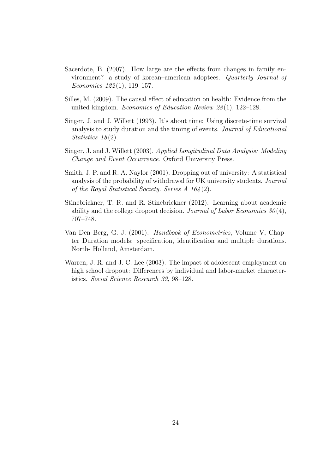- Sacerdote, B. (2007). How large are the effects from changes in family environment? a study of korean–american adoptees. Quarterly Journal of Economics  $122(1)$ , 119–157.
- Silles, M. (2009). The causal effect of education on health: Evidence from the united kingdom. Economics of Education Review 28(1), 122-128.
- Singer, J. and J. Willett (1993). It's about time: Using discrete-time survival analysis to study duration and the timing of events. Journal of Educational Statistics  $18(2)$ .
- Singer, J. and J. Willett (2003). Applied Longitudinal Data Analysis: Modeling Change and Event Occurrence. Oxford University Press.
- Smith, J. P. and R. A. Naylor (2001). Dropping out of university: A statistical analysis of the probability of withdrawal for UK university students. Journal of the Royal Statistical Society. Series A 164 (2).
- Stinebrickner, T. R. and R. Stinebrickner (2012). Learning about academic ability and the college dropout decision. Journal of Labor Economics  $30(4)$ , 707–748.
- Van Den Berg, G. J. (2001). Handbook of Econometrics, Volume V, Chapter Duration models: specification, identification and multiple durations. North- Holland, Amsterdam.
- Warren, J. R. and J. C. Lee (2003). The impact of adolescent employment on high school dropout: Differences by individual and labor-market characteristics. Social Science Research 32, 98–128.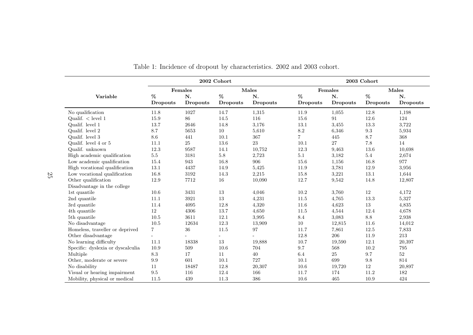|                                   | 2002 Cohort    |                 |                 |                 | 2003 Cohort     |                 |                 |                 |  |
|-----------------------------------|----------------|-----------------|-----------------|-----------------|-----------------|-----------------|-----------------|-----------------|--|
|                                   |                | Females         |                 | Males           |                 | Females         |                 | Males           |  |
| Variable                          | $\%$           | N.              | %               | N.              | %               | N.              | %               | N.              |  |
|                                   | Dropouts       | <b>Dropouts</b> | <b>Dropouts</b> | <b>Dropouts</b> | Dropouts        | <b>Dropouts</b> | <b>Dropouts</b> | <b>Dropouts</b> |  |
| No qualification                  | 11.8           | 1027            | 14.7            | 1,315           | 11.9            | 1,055           | 12.8            | 1,198           |  |
| Qualif. $\langle$ level 1         | 15.9           | 86              | 14.5            | 116             | 15.6            | 91              | 12.6            | 124             |  |
| Qualif. level 1                   | 13.7           | 2646            | 14.8            | 3,176           | 13.1            | 3,455           | 13.3            | 3,722           |  |
| Qualif. level 2                   | 8.7            | 5653            | $10\,$          | 5,610           | $\!\!\!\!\!8.2$ | 6,346           | $\rm 9.3$       | 5,934           |  |
| Qualif. level 3                   | 8.6            | 441             | 10.1            | 367             | $\overline{7}$  | 445             | 8.7             | 368             |  |
| Qualif. level 4 or 5              | 11.1           | $25\,$          | 13.6            | 23              | 10.1            | 27              | 7.8             | 14              |  |
| Qualif. unknown                   | 12.3           | 9587            | 14.1            | 10,752          | 12.3            | 9,463           | 13.6            | 10.698          |  |
| High academic qualification       | $5.5\,$        | 3181            | $5.8\,$         | 2,723           | $5.1\,$         | 3,182           | $5.4\,$         | 2,674           |  |
| Low academic qualification        | 15.4           | 943             | 16.8            | 906             | 15.6            | 1,156           | 16.8            | 977             |  |
| High vocational qualification     | 13.1           | 4437            | 14.9            | 5,425           | 11.9            | 3,781           | 12.9            | 3,956           |  |
| Low vocational qualification      | 16.8           | 3192            | 14.3            | 2,215           | 15.8            | 3,221           | 13.1            | 1,644           |  |
| Other qualification               | 12.9           | 7712            | $16\,$          | 10,090          | 12.7            | 9,542           | 14.8            | 12,807          |  |
| Disadvantage in the college       |                |                 |                 |                 |                 |                 |                 |                 |  |
| 1st quantile                      | 10.6           | 3431            | $13\,$          | 4,046           | 10.2            | 3,760           | 12              | 4,172           |  |
| 2nd quantile                      | 11.1           | 3921            | 13              | 4,231           | 11.5            | 4,765           | 13.3            | 5,327           |  |
| 3rd quantile                      | 11.4           | 4095            | 12.8            | 4,320           | 11.6            | 4,623           | 13              | 4,835           |  |
| 4th quantile                      | 12             | 4306            | 13.7            | 4,650           | 11.5            | 4,544           | 12.4            | 4,678           |  |
| 5th quantile                      | 10.5           | 3611            | 12.1            | 3,995           | 8.4             | 3,083           | $\!\!\!\!\!8.8$ | 2,938           |  |
| No disadvantage                   | 10.5           | 12634           | 12.3            | 13,909          | 10              | 12,815          | 11.6            | 14,012          |  |
| Homeless, traveller or deprived   | $\overline{7}$ | 36              | 11.5            | 97              | 11.7            | 7,861           | 12.5            | 7,833           |  |
| Other disadvantage                |                |                 |                 | ÷               | 12.8            | 206             | 11.9            | 213             |  |
| No learning difficulty            | 11.1           | 18338           | 13              | 19,888          | 10.7            | 19,590          | 12.1            | 20,397          |  |
| Specific: dyslexia or dyscalculia | 10.9           | 509             | 10.6            | 704             | 9.7             | 568             | 10.2            | 795             |  |
| Multiple                          | 8.3            | 17              | 11              | 40              | 6.4             | 25              | 9.7             | $52\,$          |  |
| Other, moderate or severe         | 9.9            | 601             | 10.1            | 727             | 10.1            | 699             | 9.8             | 814             |  |
| No disability                     | 11             | 18487           | 12.8            | 20,307          | 10.6            | 19,720          | 12              | 20,897          |  |
| Visual or hearing impairment      | 9.5            | 116             | 12.4            | 166             | 11.7            | 174             | 11.2            | 182             |  |
| Mobility, physical or medical     | 11.5           | 439             | 11.3            | 386             | 10.6            | 465             | 10.9            | 424             |  |

|  |  | Table 1: Incidence of dropout by characteristics. 2002 and 2003 cohort. |  |  |
|--|--|-------------------------------------------------------------------------|--|--|
|  |  |                                                                         |  |  |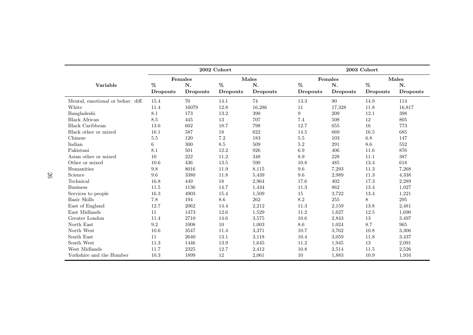|                                   | 2002 Cohort |          |                 |          | 2003 Cohort     |          |                 |          |
|-----------------------------------|-------------|----------|-----------------|----------|-----------------|----------|-----------------|----------|
|                                   |             | Females  |                 | Males    |                 | Females  |                 | Males    |
| Variable                          | %           | N.       | %               | N.       | %               | N.       | $\%$            | N.       |
|                                   | Dropouts    | Dropouts | <b>Dropouts</b> | Dropouts | <b>Dropouts</b> | Dropouts | <b>Dropouts</b> | Dropouts |
| Mental, emotional or behav. diff. | 15.4        | 70       | 14.1            | 74       | 13.3            | 90       | 14.9            | 114      |
| White                             | 11.4        | 16079    | 12.8            | 16,286   | 11              | 17,328   | 11.8            | 16,817   |
| Bangladeshi                       | 8.1         | 173      | 13.2            | 390      | 9               | 209      | 12.1            | 398      |
| <b>Black African</b>              | 8.5         | 445      | 13              | 707      | 7.4             | 508      | 12              | 805      |
| <b>Black Caribbean</b>            | 13.6        | 602      | 18.7            | 798      | 12.7            | 655      | 16              | 773      |
| Black other or mixed              | 16.1        | 587      | 18              | 622      | 14.5            | 669      | 16.5            | 685      |
| Chinese                           | 5.5         | 120      | 7.2             | 183      | 5.5             | 103      | 6.8             | 147      |
| Indian                            | 6           | 300      | 8.5             | 509      | $5.2\,$         | 291      | 8.6             | 552      |
| Pakistani                         | 8.1         | 501      | 12.2            | 926      | 6.9             | 406      | 11.6            | 876      |
| Asian other or mixed              | 10          | 222      | 11.2            | 348      | 8.9             | 228      | 11.1            | 387      |
| Other or mixed                    | 10.6        | 436      | 13.5            | 590      | 10.8            | 485      | 13.4            | 618      |
| Humanities                        | 9.8         | 8016     | 11.9            | 8,115    | 9.6             | 7,293    | 11.3            | 7,268    |
| Science                           | 9.6         | 3380     | 11.8            | 5,439    | 9.6             | 2,989    | 11.3            | 4,338    |
| Technical                         | 16.8        | 449      | 18              | 2,964    | 17.6            | 402      | 17.3            | 2,289    |
| <b>Business</b>                   | 11.5        | 1136     | 14.7            | 1,434    | 11.3            | 862      | 13.4            | 1,027    |
| Services to people                | 16.3        | 4903     | 15.4            | 1,509    | 15              | 3,722    | 13.4            | 1,221    |
| <b>Basic Skills</b>               | 7.8         | 194      | $8.6\,$         | 262      | $8.2\,$         | $255\,$  | 8               | $\,295$  |
| East of England                   | 12.7        | 2062     | 14.4            | 2,212    | 11.3            | 2,159    | 13.8            | 2,481    |
| East Midlands                     | 11          | 1473     | 12.6            | 1,529    | 11.2            | 1,627    | 12.5            | 1,690    |
| Greater London                    | 11.4        | 2710     | 14.6            | 3,575    | 10.6            | 2,843    | 13              | 3,497    |
| North East                        | $\,9.2$     | 1008     | 10              | 1,003    | 8.6             | 1,024    | 8.7             | 965      |
| North West                        | 10.6        | 3547     | 11.4            | 3,371    | 10.7            | 3,762    | 10.8            | 3,306    |
| South East                        | 11          | 2640     | 13.1            | 3,118    | 10.4            | 3,059    | 11.8            | 3,437    |
| South West                        | 11.3        | 1446     | 13.9            | 1,645    | 11.2            | 1,945    | 13              | 2,091    |
| West Midlands                     | 11.7        | 2325     | 12.7            | 2,412    | 10.8            | 2,514    | 11.5            | 2,526    |
| Yorkshire and the Humber          | 10.3        | 1899     | 12              | 2,061    | 10              | 1,883    | 10.9            | 1,916    |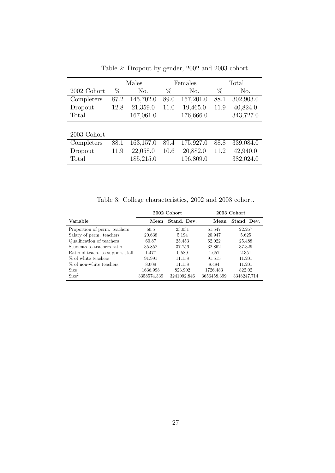|             |      | Males            | Females |                  | Total |           |
|-------------|------|------------------|---------|------------------|-------|-----------|
| 2002 Cohort | $\%$ | N <sub>o</sub> . | $\%$    | N <sub>o</sub> . | $\%$  | No.       |
| Completers  | 87.2 | 145,702.0        | 89.0    | 157,201.0        | 88.1  | 302,903.0 |
| Dropout     | 12.8 | 21,359.0         | 11.0    | 19,465.0         | 11.9  | 40,824.0  |
| Total       |      | 167,061.0        |         | 176,666.0        |       | 343,727.0 |
|             |      |                  |         |                  |       |           |
| 2003 Cohort |      |                  |         |                  |       |           |
| Completers  | 88.1 | 163,157.0        | 89.4    | 175,927.0        | 88.8  | 339,084.0 |
| Dropout     | 11.9 | 22,058.0         | 10.6    | 20,882.0         | 11.2  | 42,940.0  |
| Total       |      | 185,215.0        |         | 196,809.0        |       | 382,024.0 |

Table 2: Dropout by gender, 2002 and 2003 cohort.

Table 3: College characteristics, 2002 and 2003 cohort.

|                                  |             | 2002 Cohort | 2003 Cohort |             |  |
|----------------------------------|-------------|-------------|-------------|-------------|--|
| Variable                         | Mean        | Stand. Dev. | Mean        | Stand. Dev. |  |
| Proportion of perm. teachers     | 60.5        | 23.031      | 61.547      | 22.267      |  |
| Salary of perm. teachers         | 20.638      | 5.194       | 20.947      | 5.625       |  |
| Qualification of teachers        | 60.87       | 25.453      | 62.022      | 25.488      |  |
| Students to teachers ratio       | 35.852      | 37.756      | 32.862      | 37.329      |  |
| Ratio of teach. to support staff | 1.477       | 0.589       | 1.657       | 2.351       |  |
| % of white teachers              | 91.991      | 11.158      | 91.515      | 11.201      |  |
| % of non-white teachers          | 8.009       | 11.158      | 8.484       | 11.201      |  |
| Size                             | 1636.998    | 823.902     | 1726.483    | 822.02      |  |
| Size <sup>2</sup>                | 3358574.339 | 3241092.846 | 3656458.399 | 3348247.714 |  |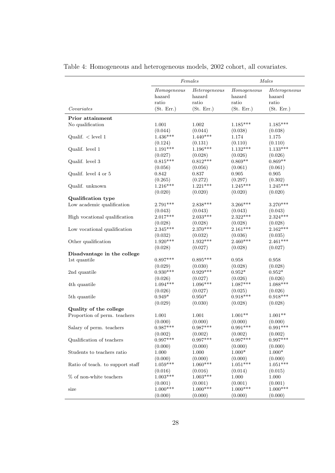|                                  |                       | Females                 |                       | Males                   |
|----------------------------------|-----------------------|-------------------------|-----------------------|-------------------------|
|                                  | Homogeneous<br>hazard | Heterogeneous<br>hazard | Homogeneous<br>hazard | Heterogeneous<br>hazard |
| Covariates                       | ratio<br>(St. Err.)   | ratio<br>(St. Err.)     | ratio<br>(St. Err.)   | ratio<br>(St. Err.)     |
| Prior attainment                 |                       |                         |                       |                         |
| No qualification                 | 1.001                 | 1.002                   | $1.185***$            | $1.185***$              |
|                                  | (0.044)               | (0.044)                 | (0.038)               | (0.038)                 |
| Qualif. $\langle$ level 1        | $1.436***$            | $1.440***$              | 1.174                 | 1.175                   |
|                                  | (0.124)               | (0.131)                 | (0.110)               | (0.110)                 |
| Qualif. level 1                  | $1.191***$            | $1.196***$              | $1.132***$            | $1.133***$              |
|                                  | (0.027)               | (0.028)                 | (0.026)               | (0.026)                 |
| Qualif. level 3                  | $0.815***$            | $0.812***$              | $0.869**$             | $0.869**$               |
|                                  | (0.056)               | (0.056)                 | (0.061)               | (0.061)                 |
| Qualif. level 4 or 5             | 0.842                 | 0.837                   | $\,0.905\,$           | 0.905                   |
|                                  | (0.265)               |                         | (0.297)               |                         |
|                                  | $1.216***$            | (0.272)<br>$1.221***$   | $1.245***$            | (0.302)<br>$1.245***$   |
| Qualif. unknown                  |                       |                         |                       |                         |
|                                  | (0.020)               | (0.020)                 | (0.020)               | (0.020)                 |
| Qualification type               | 2.791***              |                         |                       |                         |
| Low academic qualification       |                       | $2.838***$              | $3.266***$            | $3.270***$              |
|                                  | (0.043)<br>$2.017***$ | (0.043)<br>$2.033***$   | (0.043)<br>$2.322***$ | (0.043)                 |
| High vocational qualification    |                       |                         |                       | $2.324***$              |
|                                  | (0.028)<br>$2.345***$ | (0.028)<br>$2.370***$   | (0.028)               | (0.028)                 |
| Low vocational qualification     |                       |                         | $2.161***$            | $2.162***$              |
|                                  | (0.032)               | (0.032)                 | (0.036)               | (0.035)                 |
| Other qualification              | $1.920***$            | $1.932***$              | $2.460***$            | $2.461***$              |
|                                  | (0.028)               | (0.027)                 | (0.028)               | (0.027)                 |
| Disadvantage in the college      |                       |                         |                       |                         |
| 1st quantile                     | $0.897***$            | $0.895***$              | 0.958                 | 0.958                   |
|                                  | (0.029)               | (0.030)                 | (0.028)               | (0.028)                 |
| 2nd quantile                     | $0.930***$            | $0.929***$              | $0.952*$              | $0.952*$                |
|                                  | (0.026)               | (0.027)                 | (0.026)               | (0.026)                 |
| 4th quantile                     | $1.094***$            | $1.096***$              | $1.087***$            | $1.088***$              |
|                                  | (0.026)               | (0.027)                 | (0.025)               | (0.026)                 |
| 5th quantile                     | $0.949*$              | $0.950*$                | $0.918***$            | $0.918***$              |
|                                  | (0.029)               | (0.030)                 | (0.028)               | (0.028)                 |
| Quality of the college           |                       |                         |                       |                         |
| Proportion of perm. teachers     | 1.001                 | 1.001                   | $1.001**$             | $1.001**$               |
|                                  | (0.000)               | (0.000)                 | (0.000)               | (0.000)                 |
| Salary of perm. teachers         | $0.987***$            | $0.987***$              | $0.991***$            | $0.991***$              |
|                                  | (0.002)               | (0.002)                 | (0.002)               | (0.002)                 |
| Qualification of teachers        | $0.997***$            | $0.997***$              | $0.997***$            | $0.997***$              |
|                                  | (0.000)               | (0.000)                 | (0.000)               | (0.000)                 |
| Students to teachers ratio       | 1.000                 | 1.000                   | $1.000\text{*}$       | $1.000*$                |
|                                  | (0.000)               | (0.000)                 | (0.000)               | (0.000)                 |
| Ratio of teach. to support staff | $1.059***$            | $1.060***$              | $1.051***$            | $1.051***$              |
|                                  | (0.016)               | (0.016)                 | (0.014)               | (0.015)                 |
| % of non-white teachers          | $1.003***$            | $1.003***$              | $1.000\,$             | $1.000\,$               |
|                                  | (0.001)               | (0.001)                 | (0.001)               | (0.001)                 |
| size                             | $1.000***$            | $1.000***$              | $1.000***$            | $1.000***$              |
|                                  | (0.000)               | (0.000)                 | (0.000)               | (0.000)                 |

Table 4: Homogeneous and heterogeneous models, 2002 cohort, all covariates.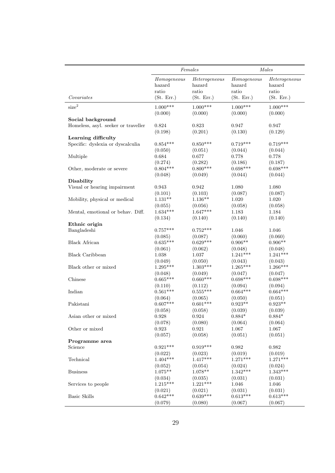|                                     |                                | Females                          | Males                          |                                  |  |
|-------------------------------------|--------------------------------|----------------------------------|--------------------------------|----------------------------------|--|
|                                     | Homogeneous<br>hazard<br>ratio | Heterogeneous<br>hazard<br>ratio | Homogeneous<br>hazard<br>ratio | Heterogeneous<br>hazard<br>ratio |  |
| Covariates                          | (St. Err.)                     | (St. Err.)                       | (St. Err.)                     | (St. Err.)                       |  |
| size <sup>2</sup>                   | $1.000***$<br>(0.000)          | $1.000***$<br>(0.000)            | $1.000***$<br>(0.000)          | $1.000***$<br>(0.000)            |  |
| Social background                   |                                |                                  |                                |                                  |  |
| Homeless, asyl. seeker or traveller | 0.824<br>(0.198)               | 0.823<br>(0.201)                 | 0.947<br>(0.130)               | 0.947<br>(0.129)                 |  |
| Learning difficulty                 |                                |                                  |                                |                                  |  |
| Specific: dyslexia or dyscalculia   | $0.854***$                     | $0.850***$                       | $0.719***$                     | $0.719***$                       |  |
|                                     | (0.050)                        | (0.051)                          | (0.044)                        | (0.044)                          |  |
| Multiple                            | 0.684                          | 0.677                            | 0.778                          | 0.778                            |  |
|                                     | (0.274)                        | (0.282)                          | (0.186)                        | (0.187)                          |  |
| Other, moderate or severe           | $0.804***$                     | $0.800***$                       | $0.698***$                     | $0.698***$                       |  |
|                                     | (0.048)                        | (0.049)                          | (0.044)                        | (0.044)                          |  |
| Disability                          |                                |                                  |                                |                                  |  |
| Visual or hearing impairment        | 0.943                          | 0.942                            | 1.080                          | 1.080                            |  |
|                                     | (0.101)                        | (0.103)                          | (0.087)                        | (0.087)                          |  |
| Mobility, physical or medical       | $1.131**$                      | $1.136**$                        | 1.020                          | 1.020                            |  |
|                                     | (0.055)                        | (0.056)                          | (0.058)                        | (0.058)                          |  |
| Mental, emotional or behav. Diff.   | $1.634***$                     | $1.647***$                       | 1.183                          | 1.184                            |  |
|                                     | (0.134)                        | (0.140)                          | (0.140)                        | (0.140)                          |  |
| Ethnic origin                       |                                |                                  |                                |                                  |  |
| Bangladeshi                         | $0.757***$                     | $0.752***$                       | 1.046                          | 1.046                            |  |
|                                     | (0.085)                        | (0.087)                          | (0.060)                        | (0.060)                          |  |
| <b>Black African</b>                | $0.635***$                     | $0.629***$                       | $0.906**$                      | $0.906**$                        |  |
|                                     | (0.061)                        | (0.062)                          | (0.048)                        | (0.048)                          |  |
| <b>Black Caribbean</b>              | 1.038                          | 1.037                            | $1.241***$                     | $1.241***$                       |  |
|                                     | (0.049)                        | (0.050)                          | (0.043)                        | (0.043)                          |  |
| Black other or mixed                | $1.295***$                     | $1.303***$                       | $1.265***$                     | 1.266***                         |  |
|                                     | (0.048)                        | (0.049)                          | (0.047)                        | (0.047)                          |  |
| Chinese                             | $0.665***$                     | $0.660***$                       | $0.698***$                     | $0.698***$                       |  |
|                                     | (0.110)                        | (0.112)                          | (0.094)                        | (0.094)                          |  |
| Indian                              | $0.561***$                     | $0.555***$                       | $0.664***$                     | $0.664***$                       |  |
|                                     | (0.064)                        | (0.065)                          | (0.050)                        | (0.051)                          |  |
| Pakistani                           | $0.607***$                     | $0.601***$                       | $0.923**$                      | $0.923**$                        |  |
|                                     | (0.058)                        | (0.058)                          | (0.039)                        | (0.039)                          |  |
| Asian other or mixed                | 0.928                          | $\,0.924\,$                      | $0.884*$                       | $0.884*$                         |  |
|                                     | (0.078)                        | (0.080)                          | (0.064)                        | (0.064)                          |  |
| Other or mixed                      | 0.923                          | 0.921                            | 1.067                          | 1.067                            |  |
| Programme area                      | (0.057)                        | (0.058)                          | (0.051)                        | (0.051)                          |  |
| Science                             | $0.921***$                     | $0.919***$                       | 0.982                          | 0.982                            |  |
|                                     | (0.022)                        | (0.023)                          | (0.019)                        | (0.019)                          |  |
| Technical                           | $1.404***$                     | $1.417***$                       | $1.271***$                     | $1.271***$                       |  |
|                                     | (0.052)                        | (0.054)                          | (0.024)                        | (0.024)                          |  |
| <b>Business</b>                     | $1.075**$                      | $1.078**$                        | $1.342***$                     | $1.343***$                       |  |
|                                     | (0.034)                        | (0.035)                          | (0.031)                        | (0.031)                          |  |
| Services to people                  | $1.215***$                     | $1.221***$                       | 1.046                          | 1.046                            |  |
|                                     | (0.021)                        | (0.021)                          | (0.031)                        | (0.031)                          |  |
| <b>Basic Skills</b>                 | $0.642***$                     | $0.639***$                       | $0.613***$                     | $0.613***$                       |  |
|                                     | (0.079)                        | (0.080)                          | (0.067)                        | (0.067)                          |  |
|                                     |                                |                                  |                                |                                  |  |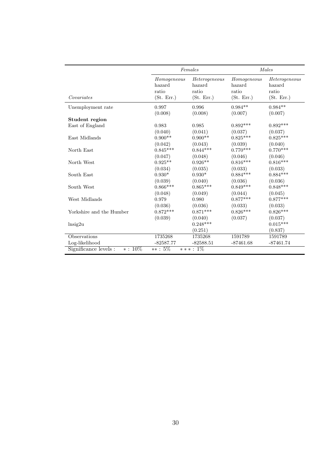|                          |                                              | Females                                        |                                              | Males                                          |
|--------------------------|----------------------------------------------|------------------------------------------------|----------------------------------------------|------------------------------------------------|
| Covariates               | Homogeneous<br>hazard<br>ratio<br>(St. Err.) | Heterogeneous<br>hazard<br>ratio<br>(St. Err.) | Homogeneous<br>hazard<br>ratio<br>(St. Err.) | Heterogeneous<br>hazard<br>ratio<br>(St. Err.) |
| Unemployment rate        | 0.997                                        | 0.996                                          | $0.984**$                                    | $0.984**$                                      |
|                          | (0.008)                                      | (0.008)                                        | (0.007)                                      | (0.007)                                        |
| Student region           |                                              |                                                |                                              |                                                |
| East of England          | 0.983                                        | 0.985                                          | $0.892***$                                   | $0.892***$                                     |
|                          | (0.040)                                      | (0.041)                                        | (0.037)                                      | (0.037)                                        |
| East Midlands            | $0.900**$                                    | $0.900**$                                      | $0.825***$                                   | $0.825***$                                     |
|                          | (0.042)                                      | (0.043)                                        | (0.039)                                      | (0.040)                                        |
| North East               | $0.845***$                                   | $0.844***$                                     | $0.770***$                                   | $0.770***$                                     |
|                          | (0.047)                                      | (0.048)                                        | (0.046)                                      | (0.046)                                        |
| North West               | $0.925**$                                    | $0.926**$                                      | $0.816***$                                   | $0.816***$                                     |
|                          | (0.034)                                      | (0.035)                                        | (0.033)                                      | (0.033)                                        |
| South East               | $0.930*$                                     | $0.930*$                                       | $0.884***$                                   | $0.884***$                                     |
|                          | (0.039)                                      | (0.040)                                        | (0.036)                                      | (0.036)                                        |
| South West               | $0.866***$                                   | $0.865***$                                     | $0.849***$                                   | $0.848***$                                     |
|                          | (0.048)                                      | (0.049)                                        | (0.044)                                      | (0.045)                                        |
| West Midlands            | 0.979                                        | 0.980                                          | $0.877***$                                   | $0.877***$                                     |
|                          | (0.036)                                      | (0.036)                                        | (0.033)                                      | (0.033)                                        |
| Yorkshire and the Humber | $0.872***$                                   | $0.871***$                                     | $0.826***$                                   | $0.826***$                                     |
|                          | (0.039)                                      | (0.040)                                        | (0.037)                                      | (0.037)                                        |
| $\ln$ sig2u              |                                              | $0.248***$                                     |                                              | $0.015***$                                     |
|                          |                                              | (0.251)                                        |                                              | (0.837)                                        |
| <b>Observations</b>      | 1735268                                      | 1735268                                        | 1591789                                      | 1591789                                        |
| Log-likelihood           | $-82587.77$                                  | $-82588.51$                                    | $-87461.68$                                  | $-87461.74$                                    |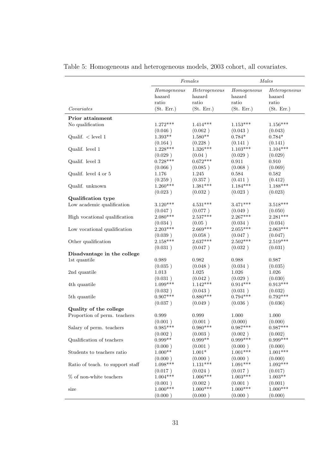|                                  |                                | Females                          |                                | Males                            |
|----------------------------------|--------------------------------|----------------------------------|--------------------------------|----------------------------------|
|                                  | Homogeneous<br>hazard<br>ratio | Heterogeneous<br>hazard<br>ratio | Homogeneous<br>hazard<br>ratio | Heterogeneous<br>hazard<br>ratio |
| Covariates                       | (St. Err.)                     | (St. Err.)                       | (St. Err.)                     | (St. Err.)                       |
| Prior attainment                 |                                |                                  |                                |                                  |
| No qualification                 | $1.272***$                     | $1.414***$                       | $1.153***$                     | $1.156***$                       |
|                                  | (0.046)                        | (0.062)                          | (0.043)                        | (0.043)                          |
| Qualif. $\langle$ level 1        | $1.393**$                      | $1.580**$                        | $0.784*$                       | $0.784*$                         |
|                                  | (0.164)                        | (0.228)                          | (0.141)                        | (0.141)                          |
| Qualif. level 1                  | $1.228***$                     | $1.326***$                       | $1.103***$                     | $1.104***$                       |
|                                  | (0.029)                        | (0.04)                           | (0.029)                        | (0.029)                          |
| Qualif. level 3                  | $0.728***$                     | $0.672***$                       | 0.911                          | 0.910                            |
|                                  | (0.066)                        | (0.085)                          | (0.068)                        | (0.069)                          |
| Qualif. level 4 or 5             | 1.176                          | 1.245                            | 0.584                          | 0.582                            |
|                                  | (0.259)                        | (0.357)                          | (0.411)                        | (0.412)                          |
| Qualif. unknown                  | $1.260***$                     | $1.381***$                       | $1.184***$                     | $1.188***$                       |
|                                  | (0.023)                        | (0.032)                          | (0.023)                        | (0.023)                          |
| Qualification type               |                                |                                  |                                |                                  |
| Low academic qualification       | $3.120***$                     | $4.531***$                       | $3.471***$                     | $3.518***$                       |
|                                  | (0.047)                        | (0.077)                          | (0.049)                        | (0.050)                          |
| High vocational qualification    | $2.080***$                     | $2.537***$                       | $2.267***$                     | $2.281***$                       |
|                                  | (0.034)                        | (0.05)                           | (0.034)                        | (0.034)                          |
| Low vocational qualification     | $2.203***$                     | $2.669***$                       | $2.055***$                     | $2.063***$                       |
|                                  | (0.039)                        | (0.058)                          | (0.047)                        | (0.047)                          |
| Other qualification              | $2.158***$                     | 2.637***                         | $2.502***$                     | $2.519***$                       |
|                                  | (0.031)                        | (0.047)                          | (0.032)                        | (0.031)                          |
| Disadvantage in the college      |                                |                                  |                                |                                  |
| 1st quantile                     | 0.989                          | 0.982                            | 0.988                          | 0.987                            |
|                                  | (0.035)                        | (0.048)                          | (0.034)                        | (0.035)                          |
| 2nd quantile                     | 1.013                          | 1.025                            | 1.026                          | 1.026                            |
|                                  | (0.031)                        | (0.042)                          | (0.029)                        | (0.030)                          |
| 4th quantile                     | $1.099***$                     | $1.142***$                       | $0.914***$                     | $0.913***$                       |
|                                  | (0.032)                        | (0.043)                          | (0.031)                        | (0.032)                          |
| 5th quantile                     | $0.907***$                     | $0.880***$                       | $0.794***$                     | $0.792***$                       |
|                                  | (0.037)                        | (0.049)                          | (0.036)                        | (0.036)                          |
| Quality of the college           |                                |                                  |                                |                                  |
| Proportion of perm. teachers     | 0.999                          | 0.999                            | 1.000                          | 1.000                            |
|                                  | (0.001)                        | (0.001)                          | (0.000)                        | (0.000)                          |
| Salary of perm. teachers         | $0.985***$                     | $0.980***$                       | $0.987***$                     | $0.987***$                       |
|                                  | (0.002)                        | (0.003)                          | (0.002)                        | (0.002)                          |
| Qualification of teachers        | $0.999**$                      | $0.999**$                        | $0.999***$                     | $0.999***$                       |
|                                  | (0.000)                        | (0.001)                          | (0.000)                        | (0.000)                          |
| Students to teachers ratio       | $1.000**$                      | $1.001^{\ast}$                   | $1.001***$                     | $1.001***$                       |
|                                  | (0.000)                        | (0.000)                          | (0.000)                        | (0.000)                          |
| Ratio of teach. to support staff | $1.098***$                     | $1.131***$                       | $1.091***$                     | $1.092***$                       |
|                                  | (0.017)                        | (0.024)                          | (0.017)                        | (0.017)                          |
| % of non-white teachers          | $1.004***$                     | $1.006***$                       | $1.003***$                     | $1.003**$                        |
|                                  | (0.001)                        | (0.002)                          | (0.001)                        | (0.001)                          |
| size                             | $1.000***$                     | $1.000***$                       | $1.000***$                     | $1.000***$                       |
|                                  | (0.000)                        | (0.000)                          | (0.000)                        | (0.000)                          |

Table 5: Homogeneous and heterogeneous models, 2003 cohort, all covariates.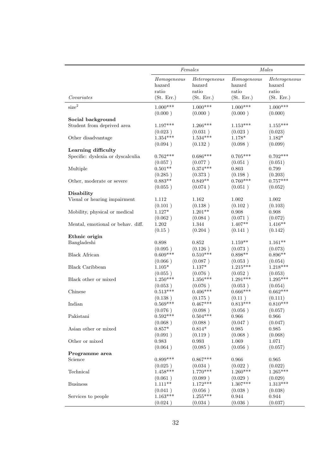|                                   |             | Females                       | Males       |               |  |
|-----------------------------------|-------------|-------------------------------|-------------|---------------|--|
|                                   | Homogeneous | $\label{thm:2} Heterogeneous$ | Homogeneous | Heterogeneous |  |
|                                   | hazard      | hazard                        | hazard      | hazard        |  |
|                                   | ratio       | ratio                         | ratio       | ratio         |  |
| Covariates                        | (St. Err.)  | (St. Err.)                    | (St. Err.)  | (St. Err.)    |  |
| size <sup>2</sup>                 | $1.000***$  | $1.000***$                    | $1.000***$  | $1.000***$    |  |
|                                   | (0.000)     | (0.000)                       | (0.000)     | (0.000)       |  |
| Social background                 |             |                               |             |               |  |
| Student from deprived area        | $1.197***$  | $1.266***$                    | $1.153***$  | $1.155***$    |  |
|                                   | (0.023)     | (0.031)                       | (0.023)     | (0.023)       |  |
| Other disadvantage                | $1.354***$  | $1.534***$                    | $1.178*$    | $1.182*$      |  |
|                                   | (0.094)     | (0.132)                       | (0.098)     | (0.099)       |  |
| Learning difficulty               |             |                               |             |               |  |
| Specific: dyslexia or dyscalculia | $0.762***$  | $0.686***$                    | $0.705***$  | $0.702***$    |  |
| Multiple                          | (0.057)     | (0.077)                       | (0.051)     | (0.051)       |  |
|                                   | $0.501**$   | $0.374***$                    | 0.803       | 0.799         |  |
|                                   | (0.285)     | (0.373)                       | (0.198)     | (0.203)       |  |
| Other, moderate or severe         | $0.883**$   | $0.849**$                     | $0.760***$  | $0.757***$    |  |
|                                   | (0.055)     | (0.074)                       | (0.051)     | (0.052)       |  |
| <b>Disability</b>                 |             |                               |             |               |  |
| Visual or hearing impairment      | 1.112       | 1.162                         | 1.002       | 1.002         |  |
|                                   | (0.101)     | (0.138)                       | (0.102)     | (0.103)       |  |
| Mobility, physical or medical     | $1.127*$    | $1.201**$                     | 0.908       | 0.908         |  |
|                                   | (0.062)     | (0.084)                       | (0.071)     | (0.072)       |  |
| Mental, emotional or behav. diff. | $1.202\,$   | 1.344                         | $1.407**$   | $1.416**$     |  |
|                                   | (0.15)      | (0.204)                       | (0.141)     | (0.142)       |  |
| Ethnic origin                     |             |                               |             |               |  |
| Bangladeshi                       | 0.898       | 0.852                         | $1.159**$   | $1.161**$     |  |
| <b>Black African</b>              | (0.095)     | (0.126)                       | (0.073)     | (0.073)       |  |
|                                   | $0.609***$  | $0.510***$                    | $0.898**$   | $0.896**$     |  |
| <b>Black Caribbean</b>            | (0.066)     | (0.087)                       | (0.053)     | (0.054)       |  |
|                                   | $1.105*$    | $1.137*$                      | $1.215***$  | $1.218***$    |  |
|                                   | (0.055)     | (0.076)                       | (0.052)     | (0.053)       |  |
| Black other or mixed              | $1.250***$  | $1.356***$                    | $1.291***$  | $1.295***$    |  |
|                                   | (0.053)     | (0.076)                       | (0.053)     | (0.054)       |  |
| Chinese                           | $0.513***$  | $0.406***$                    | $0.666***$  | $0.662***$    |  |
|                                   | (0.138)     | (0.175)                       | (0.11)      | (0.111)       |  |
| Indian                            | $0.569***$  | $0.467***$                    | $0.813***$  | $0.810***$    |  |
|                                   | (0.076)     | (0.098)                       | (0.056)     | (0.057)       |  |
| Pakistani                         | $0.592***$  | $0.504***$                    | 0.966       | 0.966         |  |
|                                   | (0.068)     | (0.088)                       | (0.047)     | (0.047)       |  |
| Asian other or mixed              | $0.857*$    | $0.814*$                      | 0.985       | 0.985         |  |
|                                   | (0.091)     | (0.119)                       | (0.068)     | (0.068)       |  |
| Other or mixed                    | 0.983       | 0.993                         | 1.069       | 1.071         |  |
|                                   | (0.064)     | (0.085)                       | (0.056)     | (0.057)       |  |
| Programme area                    |             |                               |             |               |  |
| Science                           | $0.899***$  | $0.867***$                    | 0.966       | 0.965         |  |
| Technical                         | (0.025)     | (0.034)                       | (0.022)     | (0.022)       |  |
|                                   | $1.458***$  | $1.770***$                    | $1.260***$  | $1.265***$    |  |
| <b>Business</b>                   | (0.061)     | (0.089)                       | (0.029)     | (0.029)       |  |
|                                   | $1.111**$   | $1.172***$                    | $1.307***$  | $1.313***$    |  |
| Services to people                | (0.041)     | (0.056)                       | (0.038)     | (0.038)       |  |
|                                   | $1.163***$  | $1.255***$                    | 0.944       | 0.944         |  |
|                                   | (0.024)     | (0.034)                       | (0.036)     | (0.037)       |  |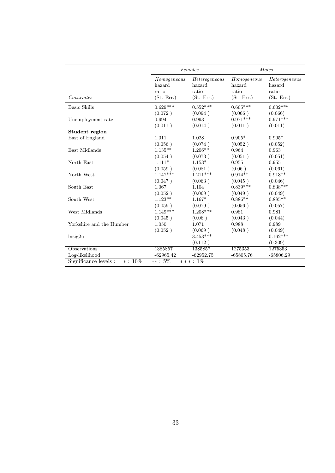|                          |                                              | Females                                        | Males                                        |                                                |  |
|--------------------------|----------------------------------------------|------------------------------------------------|----------------------------------------------|------------------------------------------------|--|
| Covariates               | Homogeneous<br>hazard<br>ratio<br>(St. Err.) | Heterogeneous<br>hazard<br>ratio<br>(St. Err.) | Homogeneous<br>hazard<br>ratio<br>(St. Err.) | Heterogeneous<br>hazard<br>ratio<br>(St. Err.) |  |
| <b>Basic Skills</b>      | $0.629***$                                   | $0.552***$                                     | $0.605***$                                   | $0.602***$                                     |  |
|                          | (0.072)                                      | (0.094)                                        | (0.066)                                      | (0.066)                                        |  |
| Unemployment rate        | 0.994                                        | 0.993                                          | $0.971***$                                   | $0.971***$                                     |  |
|                          | (0.011)                                      | (0.014)                                        | (0.011)                                      | (0.011)                                        |  |
| Student region           |                                              |                                                |                                              |                                                |  |
| East of England          | 1.011                                        | 1.028                                          | $0.905*$                                     | $0.905*$                                       |  |
|                          | (0.056)                                      | (0.074)                                        | (0.052)                                      | (0.052)                                        |  |
| East Midlands            | $1.135***$                                   | $1.206**$                                      | 0.964                                        | 0.963                                          |  |
|                          | (0.054)                                      | (0.073)                                        | (0.051)                                      | (0.051)                                        |  |
| North East               | $1.111*$                                     | $1.153*$                                       | 0.955                                        | 0.955                                          |  |
|                          | (0.059)                                      | (0.081)                                        | (0.06)                                       | (0.061)                                        |  |
| North West               | $1.147***$                                   | $1.211***$                                     | $0.914**$                                    | $0.913**$                                      |  |
|                          | (0.047)                                      | (0.063)                                        | (0.045)                                      | (0.046)                                        |  |
| South East               | 1.067                                        | 1.104                                          | $0.839***$                                   | $0.838***$                                     |  |
|                          | (0.052)                                      | (0.069)                                        | (0.049)                                      | (0.049)                                        |  |
| South West               | $1.123**$                                    | $1.167*$                                       | $0.886**$                                    | $0.885**$                                      |  |
|                          | (0.059)                                      | (0.079)                                        | (0.056)                                      | (0.057)                                        |  |
| West Midlands            | $1.149***$                                   | $1.208***$                                     | 0.981                                        | 0.981                                          |  |
|                          | (0.045)                                      | (0.06)                                         | (0.043)                                      | (0.044)                                        |  |
| Yorkshire and the Humber | 1.050                                        | 1.071                                          | 0.988                                        | 0.989                                          |  |
|                          | (0.052)                                      | (0.069)                                        | (0.048)                                      | (0.049)                                        |  |
| $\ln$ sig2u              |                                              | $3.453***$                                     |                                              | $0.162***$                                     |  |
|                          |                                              | (0.112)                                        |                                              | (0.309)                                        |  |
| Observations             | 1385857                                      | 1385857                                        | 1275353                                      | 1275353                                        |  |
| Log-likelihood           | $-62965.42$                                  | $-62952.75$                                    | $-65805.76$                                  | $-65806.29$                                    |  |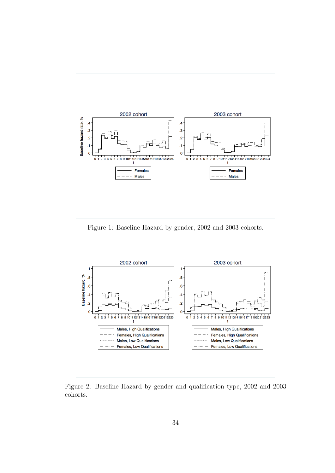

Figure 1: Baseline Hazard by gender, 2002 and 2003 cohorts.



Figure 2: Baseline Hazard by gender and qualification type, 2002 and 2003 cohorts.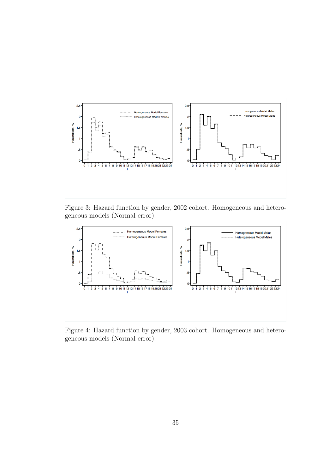

Figure 3: Hazard function by gender, 2002 cohort. Homogeneous and heterogeneous models (Normal error).



Figure 4: Hazard function by gender, 2003 cohort. Homogeneous and heterogeneous models (Normal error).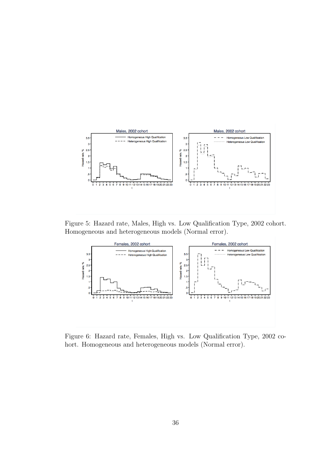

Figure 5: Hazard rate, Males, High vs. Low Qualification Type, 2002 cohort. Homogeneous and heterogeneous models (Normal error).



Figure 6: Hazard rate, Females, High vs. Low Qualification Type, 2002 cohort. Homogeneous and heterogeneous models (Normal error).